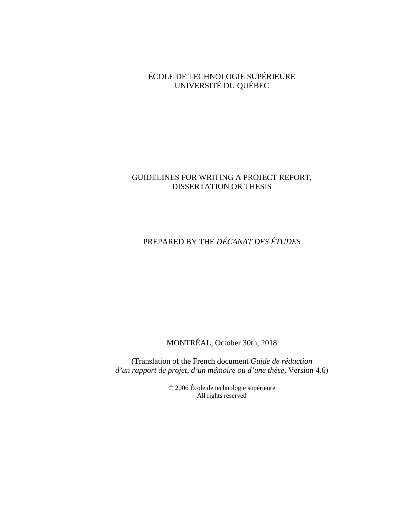ÉCOLE DE TECHNOLOGIE SUPÉRIEURE UNIVERSITÉ DU QUÉBEC

# GUIDELINES FOR WRITING A PROJECT REPORT, DISSERTATION OR THESIS

# PREPARED BY THE *DÉCANAT DES ÉTUDES*

MONTRÉAL, October 30th, 2018

(Translation of the French document *Guide de rédaction d'un rapport de projet, d'un mémoire ou d'une thèse,* Version 4.6)

> © 2006 École de technologie supérieure All rights reserved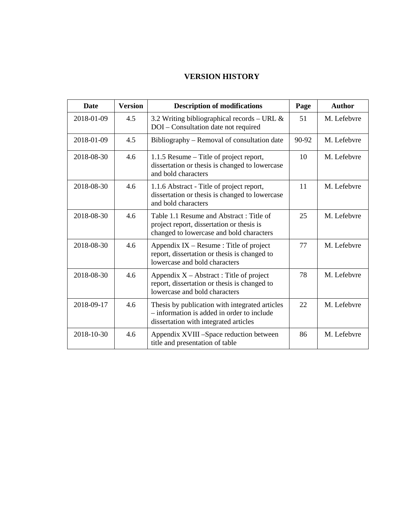# **VERSION HISTORY**

| Date       | <b>Version</b> | <b>Description of modifications</b>                                                                                                   | Page  | <b>Author</b> |
|------------|----------------|---------------------------------------------------------------------------------------------------------------------------------------|-------|---------------|
| 2018-01-09 | 4.5            | 3.2 Writing bibliographical records - URL &<br>DOI - Consultation date not required                                                   | 51    | M. Lefebvre   |
| 2018-01-09 | 4.5            | Bibliography – Removal of consultation date                                                                                           | 90-92 | M. Lefebvre   |
| 2018-08-30 | 4.6            | 1.1.5 Resume – Title of project report,<br>dissertation or thesis is changed to lowercase<br>and bold characters                      | 10    | M. Lefebvre   |
| 2018-08-30 | 4.6            | 1.1.6 Abstract - Title of project report,<br>dissertation or thesis is changed to lowercase<br>and bold characters                    | 11    | M. Lefebvre   |
| 2018-08-30 | 4.6            | Table 1.1 Resume and Abstract: Title of<br>project report, dissertation or thesis is<br>changed to lowercase and bold characters      | 25    | M. Lefebvre   |
| 2018-08-30 | 4.6            | Appendix $IX - Resume$ : Title of project<br>report, dissertation or thesis is changed to<br>lowercase and bold characters            | 77    | M. Lefebvre   |
| 2018-08-30 | 4.6            | Appendix $X -$ Abstract: Title of project<br>report, dissertation or thesis is changed to<br>lowercase and bold characters            | 78    | M. Lefebvre   |
| 2018-09-17 | 4.6            | Thesis by publication with integrated articles<br>- information is added in order to include<br>dissertation with integrated articles | 22    | M. Lefebvre   |
| 2018-10-30 | 4.6            | Appendix XVIII -Space reduction between<br>title and presentation of table                                                            | 86    | M. Lefebvre   |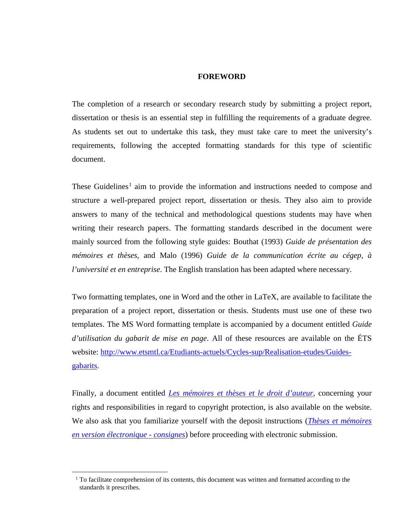# **FOREWORD**

The completion of a research or secondary research study by submitting a project report, dissertation or thesis is an essential step in fulfilling the requirements of a graduate degree. As students set out to undertake this task, they must take care to meet the university's requirements, following the accepted formatting standards for this type of scientific document.

These Guidelines<sup>[1](#page-2-0)</sup> aim to provide the information and instructions needed to compose and structure a well-prepared project report, dissertation or thesis. They also aim to provide answers to many of the technical and methodological questions students may have when writing their research papers. The formatting standards described in the document were mainly sourced from the following style guides: Bouthat (1993) *Guide de présentation des mémoires et thèses*, and Malo (1996) *Guide de la communication écrite au cégep, à l'université et en entreprise*. The English translation has been adapted where necessary.

Two formatting templates, one in Word and the other in LaTeX, are available to facilitate the preparation of a project report, dissertation or thesis. Students must use one of these two templates. The MS Word formatting template is accompanied by a document entitled *Guide d'utilisation du gabarit de mise en page*. All of these resources are available on the ÉTS website: [http://www.etsmtl.ca/Etudiants-actuels/Cycles-sup/Realisation-etudes/Guides](http://www.etsmtl.ca/Etudiants-actuels/Cycles-sup/Realisation-etudes/Guides-gabarits)[gabarits.](http://www.etsmtl.ca/Etudiants-actuels/Cycles-sup/Realisation-etudes/Guides-gabarits)

Finally, a document entitled *[Les mémoires et thèses et le droit d'auteur](http://www.etsmtl.ca/Etudiants-actuels/Cycles-sup/Realisation-etudes/Guides-gabarits/MT-et-le-droit-d-auteur)*, concerning your rights and responsibilities in regard to copyright protection, is also available on the website. We also ask that you familiarize yourself with the deposit instructions (*[Thèses et mémoires](http://www.etsmtl.ca/Etudiants-actuels/Cycles-sup/Realisation-etudes/Guides-gabarits/Consignes)  [en version électronique -](http://www.etsmtl.ca/Etudiants-actuels/Cycles-sup/Realisation-etudes/Guides-gabarits/Consignes) consignes*) before proceeding with electronic submission.

<span id="page-2-0"></span><sup>&</sup>lt;sup>1</sup> To facilitate comprehension of its contents, this document was written and formatted according to the standards it prescribes.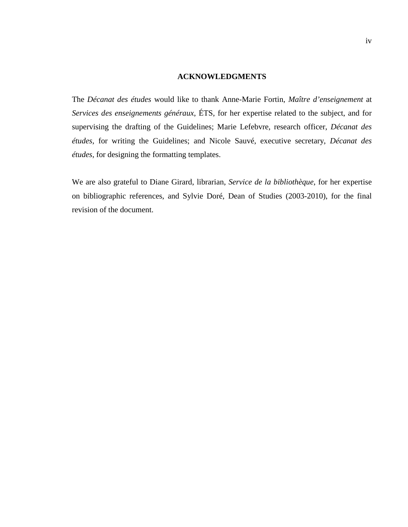## **ACKNOWLEDGMENTS**

The *Décanat des études* would like to thank Anne-Marie Fortin, *Maître d'enseignement* at *Services des enseignements généraux*, ÉTS, for her expertise related to the subject, and for supervising the drafting of the Guidelines; Marie Lefebvre, research officer, *Décanat des études*, for writing the Guidelines; and Nicole Sauvé, executive secretary, *Décanat des études*, for designing the formatting templates.

We are also grateful to Diane Girard, librarian, *Service de la bibliothèque*, for her expertise on bibliographic references, and Sylvie Doré, Dean of Studies (2003-2010), for the final revision of the document.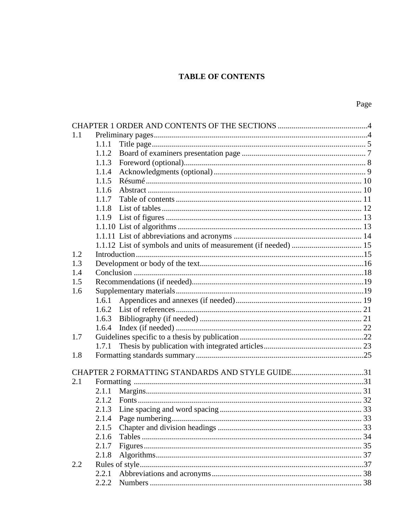# **TABLE OF CONTENTS**

| 1.1 |       |                                                  |  |
|-----|-------|--------------------------------------------------|--|
|     | 1.1.1 |                                                  |  |
|     | 1.1.2 |                                                  |  |
|     | 1.1.3 |                                                  |  |
|     | 1.1.4 |                                                  |  |
|     | 1.1.5 |                                                  |  |
|     | 1.1.6 |                                                  |  |
|     | 1.1.7 |                                                  |  |
|     | 1.1.8 |                                                  |  |
|     | 1.1.9 |                                                  |  |
|     |       |                                                  |  |
|     |       |                                                  |  |
|     |       |                                                  |  |
| 1.2 |       |                                                  |  |
| 1.3 |       |                                                  |  |
| 1.4 |       |                                                  |  |
| 1.5 |       |                                                  |  |
| 1.6 |       |                                                  |  |
|     | 1.6.1 |                                                  |  |
|     | 1.6.2 |                                                  |  |
|     | 1.6.3 |                                                  |  |
|     | 1.6.4 |                                                  |  |
| 1.7 |       |                                                  |  |
|     | 1.7.1 |                                                  |  |
| 1.8 |       |                                                  |  |
|     |       |                                                  |  |
|     |       | CHAPTER 2 FORMATTING STANDARDS AND STYLE GUIDE31 |  |
| 2.1 |       |                                                  |  |
|     | 2.1.1 |                                                  |  |
|     | 2.1.2 |                                                  |  |
|     | 2.1.3 |                                                  |  |
|     |       |                                                  |  |
|     | 2.1.5 |                                                  |  |
|     | 2.1.6 |                                                  |  |
|     | 2.1.7 |                                                  |  |
|     | 2.1.8 |                                                  |  |
| 2.2 |       |                                                  |  |
|     | 2.2.1 |                                                  |  |
|     | 2.2.2 |                                                  |  |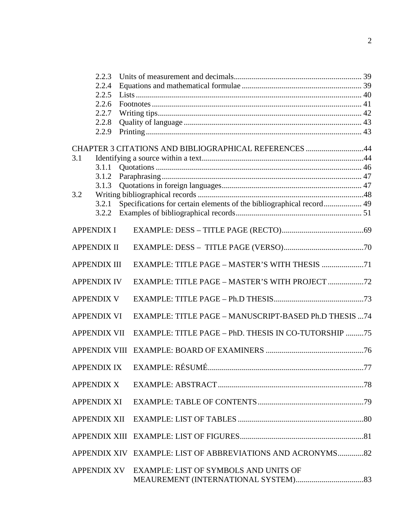|       | 2.2.3               |                                                                      |     |
|-------|---------------------|----------------------------------------------------------------------|-----|
| 2.2.4 |                     |                                                                      |     |
|       | 2.2.5               |                                                                      |     |
|       | 2.2.6               |                                                                      |     |
|       | 2.2.7               |                                                                      |     |
|       | 2.2.8               |                                                                      |     |
|       | 2.2.9               |                                                                      |     |
|       |                     | CHAPTER 3 CITATIONS AND BIBLIOGRAPHICAL REFERENCES 44                |     |
| 3.1   |                     |                                                                      |     |
|       | 3.1.1               |                                                                      |     |
|       | 3.1.2               |                                                                      |     |
|       |                     |                                                                      |     |
| 3.2   |                     |                                                                      |     |
|       | 3.2.1               | Specifications for certain elements of the bibliographical record 49 |     |
|       | 3.2.2               |                                                                      |     |
|       |                     |                                                                      |     |
|       | <b>APPENDIX I</b>   |                                                                      |     |
|       | <b>APPENDIX II</b>  |                                                                      |     |
|       |                     |                                                                      |     |
|       | <b>APPENDIX III</b> |                                                                      |     |
|       | <b>APPENDIX IV</b>  |                                                                      |     |
|       | <b>APPENDIX V</b>   |                                                                      |     |
|       | <b>APPENDIX VI</b>  | EXAMPLE: TITLE PAGE - MANUSCRIPT-BASED Ph.D THESIS 74                |     |
|       | <b>APPENDIX VII</b> | EXAMPLE: TITLE PAGE - PhD. THESIS IN CO-TUTORSHIP 75                 |     |
|       |                     |                                                                      |     |
|       |                     | APPENDIX IX EXAMPLE: RÉSUMÉ.                                         | .77 |
|       | <b>APPENDIX X</b>   |                                                                      |     |
|       | <b>APPENDIX XI</b>  |                                                                      |     |
|       | APPENDIX XII        |                                                                      |     |
|       |                     |                                                                      |     |
|       |                     | APPENDIX XIV EXAMPLE: LIST OF ABBREVIATIONS AND ACRONYMS82           |     |
|       |                     | APPENDIX XV EXAMPLE: LIST OF SYMBOLS AND UNITS OF                    |     |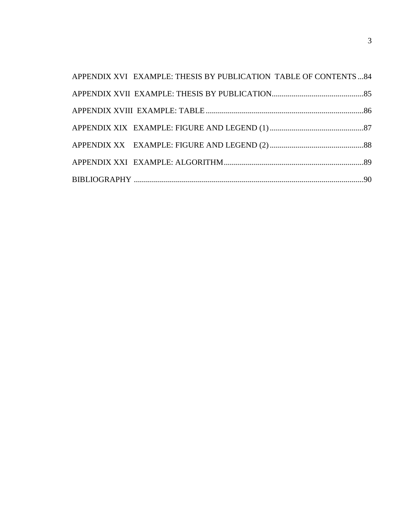| APPENDIX XVI EXAMPLE: THESIS BY PUBLICATION TABLE OF CONTENTS  84 |  |
|-------------------------------------------------------------------|--|
|                                                                   |  |
|                                                                   |  |
|                                                                   |  |
|                                                                   |  |
|                                                                   |  |
|                                                                   |  |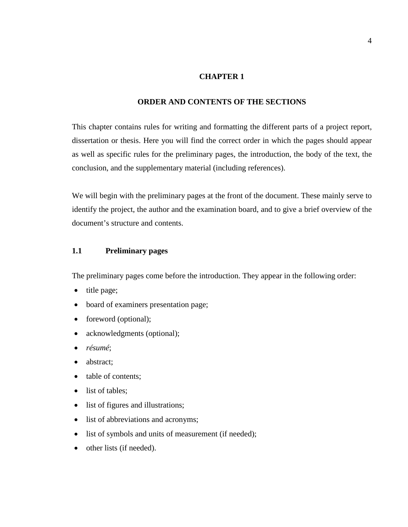# **CHAPTER 1**

# **ORDER AND CONTENTS OF THE SECTIONS**

This chapter contains rules for writing and formatting the different parts of a project report, dissertation or thesis. Here you will find the correct order in which the pages should appear as well as specific rules for the preliminary pages, the introduction, the body of the text, the conclusion, and the supplementary material (including references).

We will begin with the preliminary pages at the front of the document. These mainly serve to identify the project, the author and the examination board, and to give a brief overview of the document's structure and contents.

# **1.1 Preliminary pages**

The preliminary pages come before the introduction. They appear in the following order:

- title page;
- board of examiners presentation page;
- foreword (optional);
- acknowledgments (optional);
- *résumé*;
- abstract;
- table of contents;
- list of tables;
- list of figures and illustrations;
- list of abbreviations and acronyms;
- list of symbols and units of measurement (if needed);
- other lists (if needed).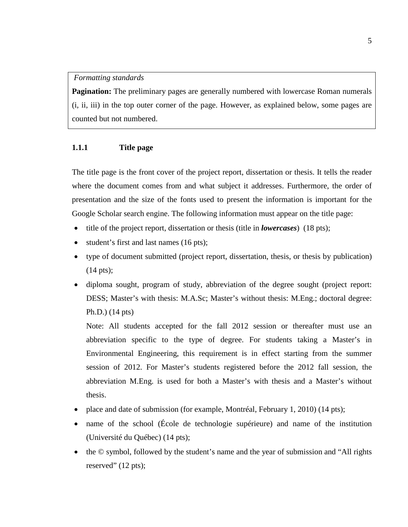## *Formatting standards*

**Pagination:** The preliminary pages are generally numbered with lowercase Roman numerals (i, ii, iii) in the top outer corner of the page. However, as explained below, some pages are counted but not numbered.

# **1.1.1 Title page**

The title page is the front cover of the project report, dissertation or thesis. It tells the reader where the document comes from and what subject it addresses. Furthermore, the order of presentation and the size of the fonts used to present the information is important for the Google Scholar search engine. The following information must appear on the title page:

- title of the project report, dissertation or thesis (title in *lowercases*) (18 pts);
- student's first and last names (16 pts);
- type of document submitted (project report, dissertation, thesis, or thesis by publication) (14 pts);
- diploma sought, program of study, abbreviation of the degree sought (project report: DESS; Master's with thesis: M.A.Sc; Master's without thesis: M.Eng.; doctoral degree: Ph.D.) (14 pts)

Note: All students accepted for the fall 2012 session or thereafter must use an abbreviation specific to the type of degree. For students taking a Master's in Environmental Engineering, this requirement is in effect starting from the summer session of 2012. For Master's students registered before the 2012 fall session, the abbreviation M.Eng. is used for both a Master's with thesis and a Master's without thesis.

- place and date of submission (for example, Montréal, February 1, 2010) (14 pts);
- name of the school (École de technologie supérieure) and name of the institution (Université du Québec) (14 pts);
- the © symbol, followed by the student's name and the year of submission and "All rights reserved" (12 pts);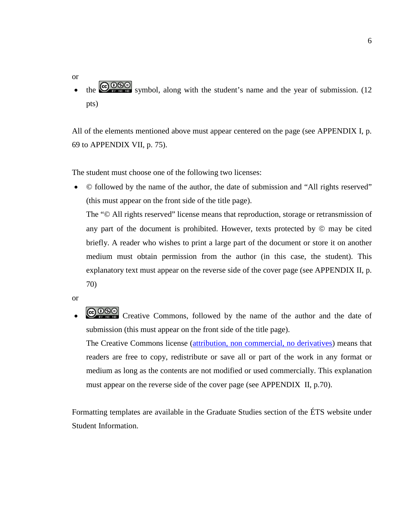or the  $\bigcirc$   $\circ$   $\circ$   $\circ$  symbol, along with the student's name and the year of submission. (12 pts)

All of the elements mentioned above must appear centered on the page (see APPENDIX I, p. [69](#page-72-0) to APPENDIX VII, p. [75\)](#page-78-0).

The student must choose one of the following two licenses:

• © followed by the name of the author, the date of submission and "All rights reserved" (this must appear on the front side of the title page).

The "© All rights reserved" license means that reproduction, storage or retransmission of any part of the document is prohibited. However, texts protected by  $\circledcirc$  may be cited briefly. A reader who wishes to print a large part of the document or store it on another medium must obtain permission from the author (in this case, the student). This explanatory text must appear on the reverse side of the cover page (see APPENDIX II, p. 70)

or

**COOO** Creative Commons, followed by the name of the author and the date of submission (this must appear on the front side of the title page).

The Creative Commons license [\(attribution, non commercial, no derivatives\)](http://creativecommons.org/licenses/by-nc-nd/4.0/) means that readers are free to copy, redistribute or save all or part of the work in any format or medium as long as the contents are not modified or used commercially. This explanation must appear on the reverse side of the cover page (see APPENDIX II, p.70).

Formatting templates are available in the Graduate Studies section of the ÉTS website under Student Information.

6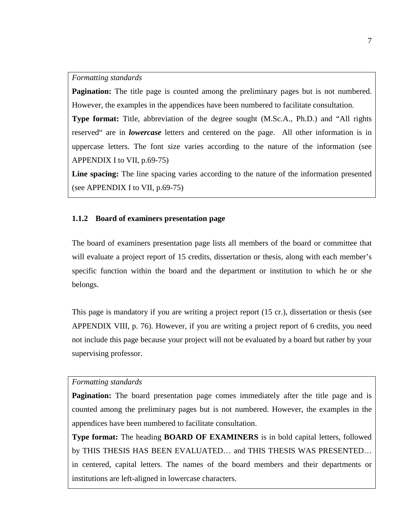#### *Formatting standards*

**Pagination:** The title page is counted among the preliminary pages but is not numbered. However, the examples in the appendices have been numbered to facilitate consultation.

**Type format:** Title, abbreviation of the degree sought (M.Sc.A., Ph.D.) and "All rights reserved" are in *lowercase* letters and centered on the page. All other information is in uppercase letters. The font size varies according to the nature of the information (see APPENDIX I to VII, p.69-75)

Line spacing: The line spacing varies according to the nature of the information presented (see APPENDIX I to VII, p.69-75)

## **1.1.2 Board of examiners presentation page**

The board of examiners presentation page lists all members of the board or committee that will evaluate a project report of 15 credits, dissertation or thesis, along with each member's specific function within the board and the department or institution to which he or she belongs.

This page is mandatory if you are writing a project report (15 cr.), dissertation or thesis (see APPENDIX VIII, p. [76\)](#page-79-0). However, if you are writing a project report of 6 credits, you need not include this page because your project will not be evaluated by a board but rather by your supervising professor.

## *Formatting standards*

**Pagination:** The board presentation page comes immediately after the title page and is counted among the preliminary pages but is not numbered. However, the examples in the appendices have been numbered to facilitate consultation.

**Type format:** The heading **BOARD OF EXAMINERS** is in bold capital letters, followed by THIS THESIS HAS BEEN EVALUATED… and THIS THESIS WAS PRESENTED… in centered, capital letters. The names of the board members and their departments or institutions are left-aligned in lowercase characters.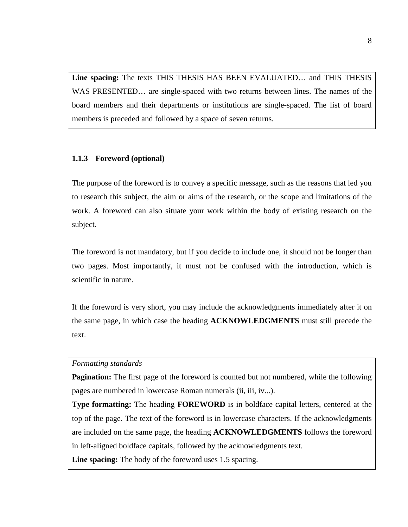**Line spacing:** The texts THIS THESIS HAS BEEN EVALUATED… and THIS THESIS WAS PRESENTED… are single-spaced with two returns between lines. The names of the board members and their departments or institutions are single-spaced. The list of board members is preceded and followed by a space of seven returns.

## **1.1.3 Foreword (optional)**

The purpose of the foreword is to convey a specific message, such as the reasons that led you to research this subject, the aim or aims of the research, or the scope and limitations of the work. A foreword can also situate your work within the body of existing research on the subject.

The foreword is not mandatory, but if you decide to include one, it should not be longer than two pages. Most importantly, it must not be confused with the introduction, which is scientific in nature.

If the foreword is very short, you may include the acknowledgments immediately after it on the same page, in which case the heading **ACKNOWLEDGMENTS** must still precede the text.

## *Formatting standards*

**Pagination:** The first page of the foreword is counted but not numbered, while the following pages are numbered in lowercase Roman numerals (ii, iii, iv...).

**Type formatting:** The heading **FOREWORD** is in boldface capital letters, centered at the top of the page. The text of the foreword is in lowercase characters. If the acknowledgments are included on the same page, the heading **ACKNOWLEDGMENTS** follows the foreword in left-aligned boldface capitals, followed by the acknowledgments text.

**Line spacing:** The body of the foreword uses 1.5 spacing.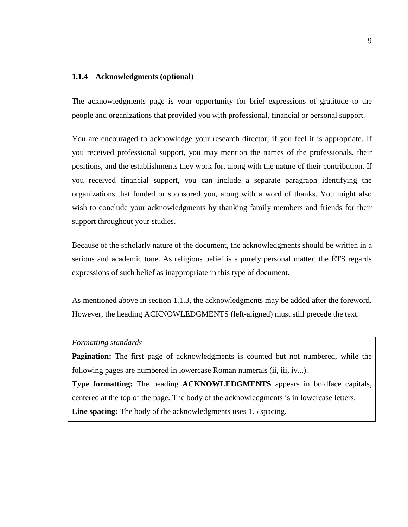## **1.1.4 Acknowledgments (optional)**

The acknowledgments page is your opportunity for brief expressions of gratitude to the people and organizations that provided you with professional, financial or personal support.

You are encouraged to acknowledge your research director, if you feel it is appropriate. If you received professional support, you may mention the names of the professionals, their positions, and the establishments they work for, along with the nature of their contribution. If you received financial support, you can include a separate paragraph identifying the organizations that funded or sponsored you, along with a word of thanks. You might also wish to conclude your acknowledgments by thanking family members and friends for their support throughout your studies.

Because of the scholarly nature of the document, the acknowledgments should be written in a serious and academic tone. As religious belief is a purely personal matter, the ÉTS regards expressions of such belief as inappropriate in this type of document.

As mentioned above in section 1.1.3, the acknowledgments may be added after the foreword. However, the heading ACKNOWLEDGMENTS (left-aligned) must still precede the text.

## *Formatting standards*

**Pagination:** The first page of acknowledgments is counted but not numbered, while the following pages are numbered in lowercase Roman numerals (ii, iii, iv...).

**Type formatting:** The heading **ACKNOWLEDGMENTS** appears in boldface capitals, centered at the top of the page. The body of the acknowledgments is in lowercase letters.

**Line spacing:** The body of the acknowledgments uses 1.5 spacing.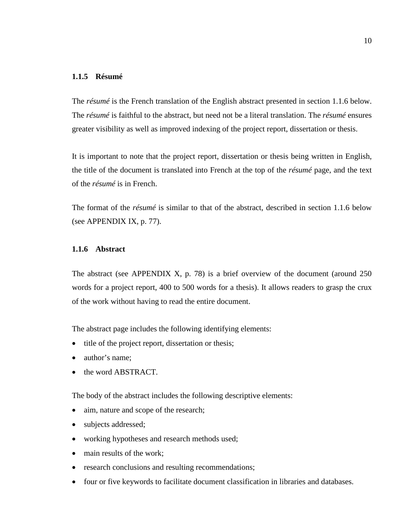# **1.1.5 Résumé**

The *résumé* is the French translation of the English abstract presented in section 1.1.6 below. The *résumé* is faithful to the abstract, but need not be a literal translation. The *résumé* ensures greater visibility as well as improved indexing of the project report, dissertation or thesis.

It is important to note that the project report, dissertation or thesis being written in English, the title of the document is translated into French at the top of the *résumé* page, and the text of the *résumé* is in French.

The format of the *résumé* is similar to that of the abstract, described in section 1.1.6 below (see APPENDIX IX, p. 77).

# **1.1.6 Abstract**

The abstract (see APPENDIX X, p. [78\)](#page-81-0) is a brief overview of the document (around 250 words for a project report, 400 to 500 words for a thesis). It allows readers to grasp the crux of the work without having to read the entire document.

The abstract page includes the following identifying elements:

- title of the project report, dissertation or thesis;
- author's name:
- the word ABSTRACT.

The body of the abstract includes the following descriptive elements:

- aim, nature and scope of the research;
- subjects addressed;
- working hypotheses and research methods used;
- main results of the work:
- research conclusions and resulting recommendations;
- four or five keywords to facilitate document classification in libraries and databases.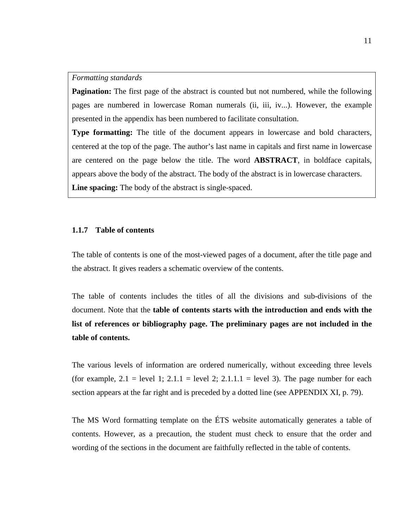#### *Formatting standards*

**Pagination:** The first page of the abstract is counted but not numbered, while the following pages are numbered in lowercase Roman numerals (ii, iii, iv...). However, the example presented in the appendix has been numbered to facilitate consultation.

**Type formatting:** The title of the document appears in lowercase and bold characters, centered at the top of the page. The author's last name in capitals and first name in lowercase are centered on the page below the title. The word **ABSTRACT**, in boldface capitals, appears above the body of the abstract. The body of the abstract is in lowercase characters. **Line spacing:** The body of the abstract is single-spaced.

## **1.1.7 Table of contents**

The table of contents is one of the most-viewed pages of a document, after the title page and the abstract. It gives readers a schematic overview of the contents.

The table of contents includes the titles of all the divisions and sub-divisions of the document. Note that the **table of contents starts with the introduction and ends with the list of references or bibliography page. The preliminary pages are not included in the table of contents.**

The various levels of information are ordered numerically, without exceeding three levels (for example,  $2.1$  = level 1;  $2.1.1$  = level 2;  $2.1.1.1$  = level 3). The page number for each section appears at the far right and is preceded by a dotted line (see APPENDIX XI, p. [79\)](#page-82-0).

The MS Word formatting template on the ÉTS website automatically generates a table of contents. However, as a precaution, the student must check to ensure that the order and wording of the sections in the document are faithfully reflected in the table of contents.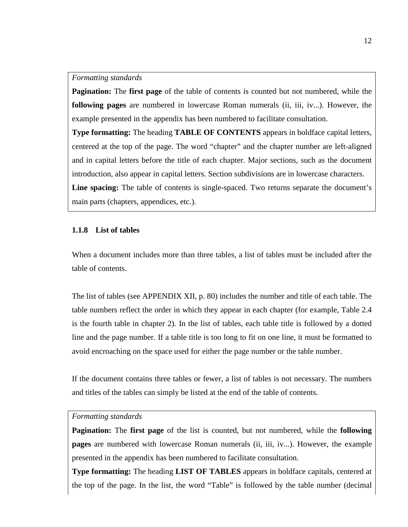#### *Formatting standards*

**Pagination:** The **first page** of the table of contents is counted but not numbered, while the **following pages** are numbered in lowercase Roman numerals (ii, iii, iv...). However, the example presented in the appendix has been numbered to facilitate consultation.

**Type formatting:** The heading **TABLE OF CONTENTS** appears in boldface capital letters, centered at the top of the page. The word "chapter" and the chapter number are left-aligned and in capital letters before the title of each chapter. Major sections, such as the document introduction, also appear in capital letters. Section subdivisions are in lowercase characters. **Line spacing:** The table of contents is single-spaced. Two returns separate the document's main parts (chapters, appendices, etc.).

#### **1.1.8 List of tables**

When a document includes more than three tables, a list of tables must be included after the table of contents.

The list of tables (see APPENDIX XII, p. [80\)](#page-83-0) includes the number and title of each table. The table numbers reflect the order in which they appear in each chapter (for example, Table 2.4 is the fourth table in chapter 2). In the list of tables, each table title is followed by a dotted line and the page number. If a table title is too long to fit on one line, it must be formatted to avoid encroaching on the space used for either the page number or the table number.

If the document contains three tables or fewer, a list of tables is not necessary. The numbers and titles of the tables can simply be listed at the end of the table of contents.

## *Formatting standards*

**Pagination:** The **first page** of the list is counted, but not numbered, while the **following pages** are numbered with lowercase Roman numerals (ii, iii, iv...). However, the example presented in the appendix has been numbered to facilitate consultation.

**Type formatting:** The heading **LIST OF TABLES** appears in boldface capitals, centered at the top of the page. In the list, the word "Table" is followed by the table number (decimal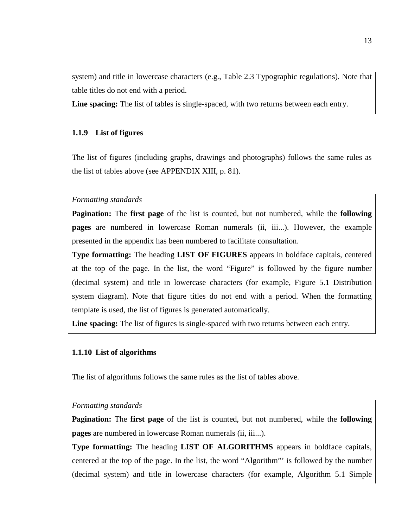system) and title in lowercase characters (e.g., Table 2.3 Typographic regulations). Note that table titles do not end with a period.

**Line spacing:** The list of tables is single-spaced, with two returns between each entry.

# **1.1.9 List of figures**

The list of figures (including graphs, drawings and photographs) follows the same rules as the list of tables above (see APPENDIX XIII, p. [81\)](#page-84-0).

*Formatting standards*

**Pagination:** The **first page** of the list is counted, but not numbered, while the **following pages** are numbered in lowercase Roman numerals (ii, iii...). However, the example presented in the appendix has been numbered to facilitate consultation.

**Type formatting:** The heading **LIST OF FIGURES** appears in boldface capitals, centered at the top of the page. In the list, the word "Figure" is followed by the figure number (decimal system) and title in lowercase characters (for example, Figure 5.1 Distribution system diagram). Note that figure titles do not end with a period. When the formatting template is used, the list of figures is generated automatically.

**Line spacing:** The list of figures is single-spaced with two returns between each entry.

## **1.1.10 List of algorithms**

The list of algorithms follows the same rules as the list of tables above.

#### *Formatting standards*

**Pagination:** The **first page** of the list is counted, but not numbered, while the **following pages** are numbered in lowercase Roman numerals (ii, iii...).

**Type formatting:** The heading **LIST OF ALGORITHMS** appears in boldface capitals, centered at the top of the page. In the list, the word "Algorithm"' is followed by the number (decimal system) and title in lowercase characters (for example, Algorithm 5.1 Simple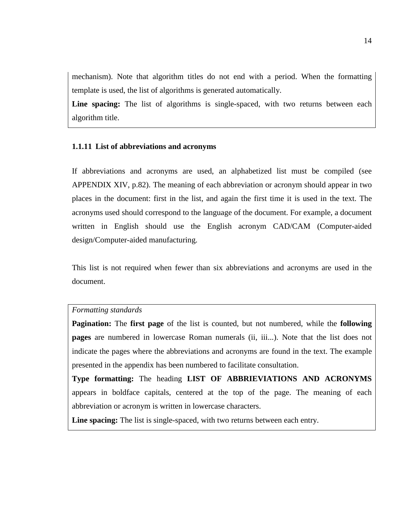mechanism). Note that algorithm titles do not end with a period. When the formatting template is used, the list of algorithms is generated automatically.

Line spacing: The list of algorithms is single-spaced, with two returns between each algorithm title.

## **1.1.11 List of abbreviations and acronyms**

If abbreviations and acronyms are used, an alphabetized list must be compiled (see APPENDIX XIV, p[.82\)](#page-85-0). The meaning of each abbreviation or acronym should appear in two places in the document: first in the list, and again the first time it is used in the text. The acronyms used should correspond to the language of the document. For example, a document written in English should use the English acronym CAD/CAM (Computer-aided design/Computer-aided manufacturing.

This list is not required when fewer than six abbreviations and acronyms are used in the document.

#### *Formatting standards*

**Pagination:** The **first page** of the list is counted, but not numbered, while the **following pages** are numbered in lowercase Roman numerals (ii, iii...). Note that the list does not indicate the pages where the abbreviations and acronyms are found in the text. The example presented in the appendix has been numbered to facilitate consultation.

**Type formatting:** The heading **LIST OF ABBRIEVIATIONS AND ACRONYMS**  appears in boldface capitals, centered at the top of the page. The meaning of each abbreviation or acronym is written in lowercase characters.

**Line spacing:** The list is single-spaced, with two returns between each entry.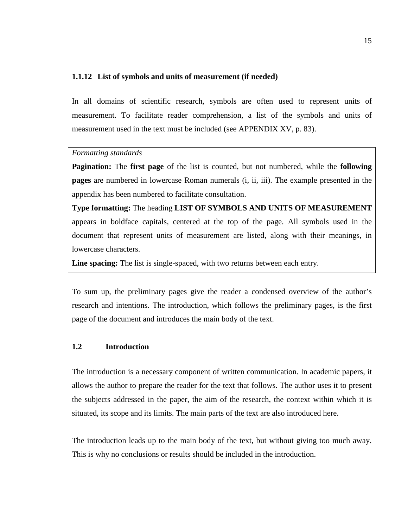#### **1.1.12 List of symbols and units of measurement (if needed)**

In all domains of scientific research, symbols are often used to represent units of measurement. To facilitate reader comprehension, a list of the symbols and units of measurement used in the text must be included (see APPENDIX XV, p. [83\)](#page-86-0).

#### *Formatting standards*

**Pagination:** The **first page** of the list is counted, but not numbered, while the **following pages** are numbered in lowercase Roman numerals (i, ii, iii). The example presented in the appendix has been numbered to facilitate consultation.

**Type formatting:** The heading **LIST OF SYMBOLS AND UNITS OF MEASUREMENT** appears in boldface capitals, centered at the top of the page. All symbols used in the document that represent units of measurement are listed, along with their meanings, in lowercase characters.

**Line spacing:** The list is single-spaced, with two returns between each entry.

To sum up, the preliminary pages give the reader a condensed overview of the author's research and intentions. The introduction, which follows the preliminary pages, is the first page of the document and introduces the main body of the text.

#### **1.2 Introduction**

The introduction is a necessary component of written communication. In academic papers, it allows the author to prepare the reader for the text that follows. The author uses it to present the subjects addressed in the paper, the aim of the research, the context within which it is situated, its scope and its limits. The main parts of the text are also introduced here.

The introduction leads up to the main body of the text, but without giving too much away. This is why no conclusions or results should be included in the introduction.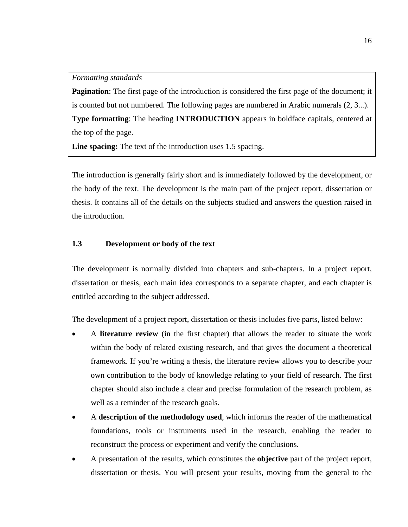**Pagination**: The first page of the introduction is considered the first page of the document; it is counted but not numbered. The following pages are numbered in Arabic numerals (2, 3...). **Type formatting**: The heading **INTRODUCTION** appears in boldface capitals, centered at the top of the page.

**Line spacing:** The text of the introduction uses 1.5 spacing.

The introduction is generally fairly short and is immediately followed by the development, or the body of the text. The development is the main part of the project report, dissertation or thesis. It contains all of the details on the subjects studied and answers the question raised in the introduction.

# **1.3 Development or body of the text**

The development is normally divided into chapters and sub-chapters. In a project report, dissertation or thesis, each main idea corresponds to a separate chapter, and each chapter is entitled according to the subject addressed.

The development of a project report, dissertation or thesis includes five parts, listed below:

- A **literature review** (in the first chapter) that allows the reader to situate the work within the body of related existing research, and that gives the document a theoretical framework. If you're writing a thesis, the literature review allows you to describe your own contribution to the body of knowledge relating to your field of research. The first chapter should also include a clear and precise formulation of the research problem, as well as a reminder of the research goals.
- A **description of the methodology used**, which informs the reader of the mathematical foundations, tools or instruments used in the research, enabling the reader to reconstruct the process or experiment and verify the conclusions.
- A presentation of the results, which constitutes the **objective** part of the project report, dissertation or thesis. You will present your results, moving from the general to the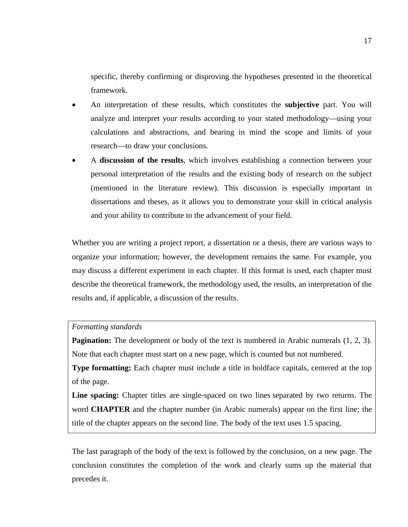specific, thereby confirming or disproving the hypotheses presented in the theoretical framework.

- An interpretation of these results, which constitutes the **subjective** part. You will analyze and interpret your results according to your stated methodology—using your calculations and abstractions, and bearing in mind the scope and limits of your research—to draw your conclusions.
- A **discussion of the results**, which involves establishing a connection between your personal interpretation of the results and the existing body of research on the subject (mentioned in the literature review). This discussion is especially important in dissertations and theses, as it allows you to demonstrate your skill in critical analysis and your ability to contribute to the advancement of your field.

Whether you are writing a project report, a dissertation or a thesis, there are various ways to organize your information; however, the development remains the same. For example, you may discuss a different experiment in each chapter. If this format is used, each chapter must describe the theoretical framework, the methodology used, the results, an interpretation of the results and, if applicable, a discussion of the results.

#### *Formatting standards*

**Pagination:** The development or body of the text is numbered in Arabic numerals  $(1, 2, 3)$ . Note that each chapter must start on a new page, which is counted but not numbered.

**Type formatting:** Each chapter must include a title in boldface capitals, centered at the top of the page.

**Line spacing:** Chapter titles are single-spaced on two lines separated by two returns. The word **CHAPTER** and the chapter number (in Arabic numerals) appear on the first line; the title of the chapter appears on the second line. The body of the text uses 1.5 spacing.

The last paragraph of the body of the text is followed by the conclusion, on a new page. The conclusion constitutes the completion of the work and clearly sums up the material that precedes it.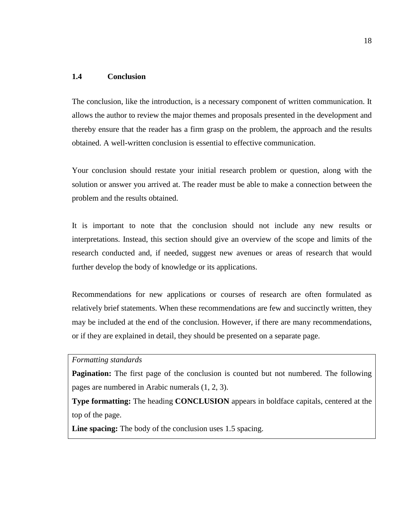# **1.4 Conclusion**

The conclusion, like the introduction, is a necessary component of written communication. It allows the author to review the major themes and proposals presented in the development and thereby ensure that the reader has a firm grasp on the problem, the approach and the results obtained. A well-written conclusion is essential to effective communication.

Your conclusion should restate your initial research problem or question, along with the solution or answer you arrived at. The reader must be able to make a connection between the problem and the results obtained.

It is important to note that the conclusion should not include any new results or interpretations. Instead, this section should give an overview of the scope and limits of the research conducted and, if needed, suggest new avenues or areas of research that would further develop the body of knowledge or its applications.

Recommendations for new applications or courses of research are often formulated as relatively brief statements. When these recommendations are few and succinctly written, they may be included at the end of the conclusion. However, if there are many recommendations, or if they are explained in detail, they should be presented on a separate page.

# *Formatting standards*

**Pagination:** The first page of the conclusion is counted but not numbered. The following pages are numbered in Arabic numerals (1, 2, 3).

**Type formatting:** The heading **CONCLUSION** appears in boldface capitals, centered at the top of the page.

**Line spacing:** The body of the conclusion uses 1.5 spacing.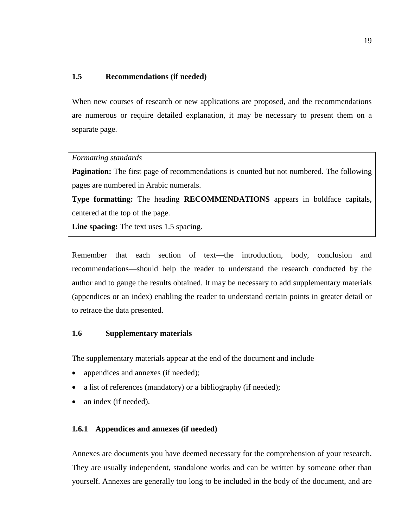# **1.5 Recommendations (if needed)**

When new courses of research or new applications are proposed, and the recommendations are numerous or require detailed explanation, it may be necessary to present them on a separate page.

## *Formatting standards*

**Pagination:** The first page of recommendations is counted but not numbered. The following pages are numbered in Arabic numerals.

**Type formatting:** The heading **RECOMMENDATIONS** appears in boldface capitals, centered at the top of the page.

**Line spacing:** The text uses 1.5 spacing.

Remember that each section of text—the introduction, body, conclusion and recommendations—should help the reader to understand the research conducted by the author and to gauge the results obtained. It may be necessary to add supplementary materials (appendices or an index) enabling the reader to understand certain points in greater detail or to retrace the data presented.

# **1.6 Supplementary materials**

The supplementary materials appear at the end of the document and include

- appendices and annexes (if needed);
- a list of references (mandatory) or a bibliography (if needed);
- an index (if needed).

#### **1.6.1 Appendices and annexes (if needed)**

Annexes are documents you have deemed necessary for the comprehension of your research. They are usually independent, standalone works and can be written by someone other than yourself. Annexes are generally too long to be included in the body of the document, and are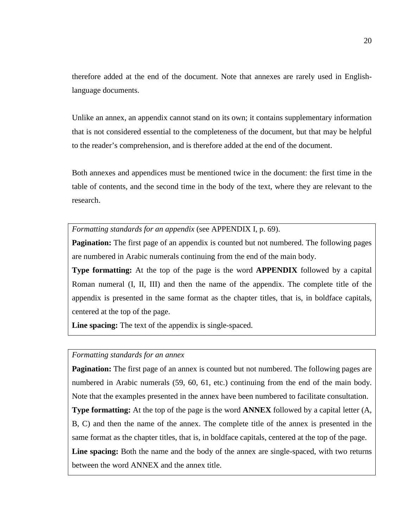therefore added at the end of the document. Note that annexes are rarely used in Englishlanguage documents.

Unlike an annex, an appendix cannot stand on its own; it contains supplementary information that is not considered essential to the completeness of the document, but that may be helpful to the reader's comprehension, and is therefore added at the end of the document.

Both annexes and appendices must be mentioned twice in the document: the first time in the table of contents, and the second time in the body of the text, where they are relevant to the research.

*Formatting standards for an appendix* (see APPENDIX I, p. [69\)](#page-72-0).

**Pagination:** The first page of an appendix is counted but not numbered. The following pages are numbered in Arabic numerals continuing from the end of the main body.

**Type formatting:** At the top of the page is the word **APPENDIX** followed by a capital Roman numeral (I, II, III) and then the name of the appendix. The complete title of the appendix is presented in the same format as the chapter titles, that is, in boldface capitals, centered at the top of the page.

**Line spacing:** The text of the appendix is single-spaced.

## *Formatting standards for an annex*

**Pagination:** The first page of an annex is counted but not numbered. The following pages are numbered in Arabic numerals (59, 60, 61, etc.) continuing from the end of the main body. Note that the examples presented in the annex have been numbered to facilitate consultation. **Type formatting:** At the top of the page is the word **ANNEX** followed by a capital letter (A, B, C) and then the name of the annex. The complete title of the annex is presented in the same format as the chapter titles, that is, in boldface capitals, centered at the top of the page. Line spacing: Both the name and the body of the annex are single-spaced, with two returns between the word ANNEX and the annex title.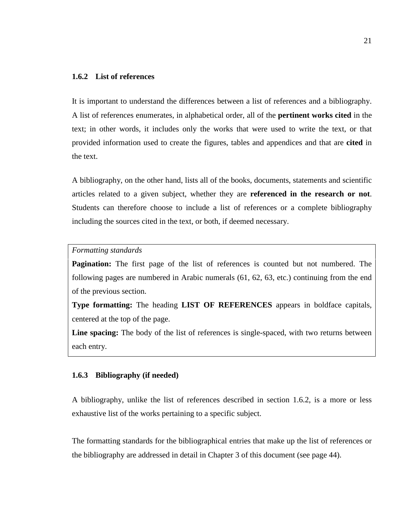# **1.6.2 List of references**

It is important to understand the differences between a list of references and a bibliography. A list of references enumerates, in alphabetical order, all of the **pertinent works cited** in the text; in other words, it includes only the works that were used to write the text, or that provided information used to create the figures, tables and appendices and that are **cited** in the text.

A bibliography, on the other hand, lists all of the books, documents, statements and scientific articles related to a given subject, whether they are **referenced in the research or not**. Students can therefore choose to include a list of references or a complete bibliography including the sources cited in the text, or both, if deemed necessary.

#### *Formatting standards*

**Pagination:** The first page of the list of references is counted but not numbered. The following pages are numbered in Arabic numerals (61, 62, 63, etc.) continuing from the end of the previous section.

**Type formatting:** The heading **LIST OF REFERENCES** appears in boldface capitals, centered at the top of the page.

**Line spacing:** The body of the list of references is single-spaced, with two returns between each entry.

## **1.6.3 Bibliography (if needed)**

A bibliography, unlike the list of references described in section 1.6.2, is a more or less exhaustive list of the works pertaining to a specific subject.

The formatting standards for the bibliographical entries that make up the list of references or the bibliography are addressed in detail in Chapter 3 of this document (see page 44).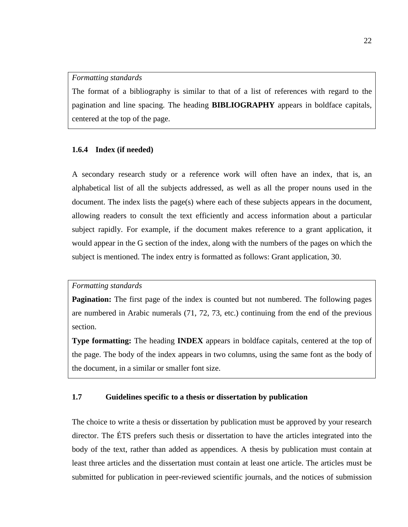#### *Formatting standards*

The format of a bibliography is similar to that of a list of references with regard to the pagination and line spacing. The heading **BIBLIOGRAPHY** appears in boldface capitals, centered at the top of the page.

## **1.6.4 Index (if needed)**

A secondary research study or a reference work will often have an index, that is, an alphabetical list of all the subjects addressed, as well as all the proper nouns used in the document. The index lists the page(s) where each of these subjects appears in the document, allowing readers to consult the text efficiently and access information about a particular subject rapidly. For example, if the document makes reference to a grant application, it would appear in the G section of the index, along with the numbers of the pages on which the subject is mentioned. The index entry is formatted as follows: Grant application, 30.

# *Formatting standards*

**Pagination:** The first page of the index is counted but not numbered. The following pages are numbered in Arabic numerals (71, 72, 73, etc.) continuing from the end of the previous section.

**Type formatting:** The heading **INDEX** appears in boldface capitals, centered at the top of the page. The body of the index appears in two columns, using the same font as the body of the document, in a similar or smaller font size.

# **1.7 Guidelines specific to a thesis or dissertation by publication**

The choice to write a thesis or dissertation by publication must be approved by your research director. The ÉTS prefers such thesis or dissertation to have the articles integrated into the body of the text, rather than added as appendices. A thesis by publication must contain at least three articles and the dissertation must contain at least one article. The articles must be submitted for publication in peer-reviewed scientific journals, and the notices of submission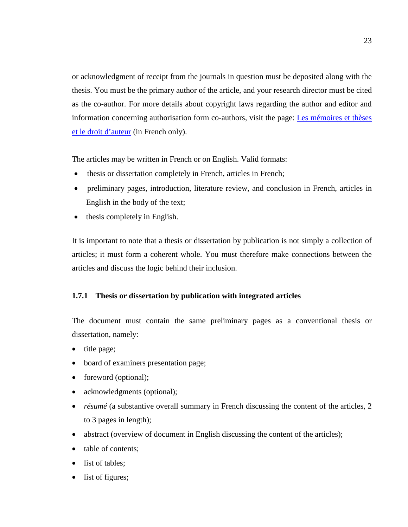or acknowledgment of receipt from the journals in question must be deposited along with the thesis. You must be the primary author of the article, and your research director must be cited as the co-author. For more details about copyright laws regarding the author and editor and information concerning authorisation form co-authors, visit the page: [Les mémoires et thèses](http://www.etsmtl.ca/Etudiants-actuels/Cycles-sup/Realisation-etudes/Guides-gabarits/MT-et-le-droit-d-auteur)  [et le droit d'auteur](http://www.etsmtl.ca/Etudiants-actuels/Cycles-sup/Realisation-etudes/Guides-gabarits/MT-et-le-droit-d-auteur) (in French only).

The articles may be written in French or on English. Valid formats:

- thesis or dissertation completely in French, articles in French;
- preliminary pages, introduction, literature review, and conclusion in French, articles in English in the body of the text;
- thesis completely in English.

It is important to note that a thesis or dissertation by publication is not simply a collection of articles; it must form a coherent whole. You must therefore make connections between the articles and discuss the logic behind their inclusion.

# **1.7.1 Thesis or dissertation by publication with integrated articles**

The document must contain the same preliminary pages as a conventional thesis or dissertation, namely:

- title page;
- board of examiners presentation page;
- foreword (optional);
- acknowledgments (optional);
- *résumé* (a substantive overall summary in French discussing the content of the articles, 2 to 3 pages in length);
- abstract (overview of document in English discussing the content of the articles);
- table of contents:
- list of tables;
- list of figures;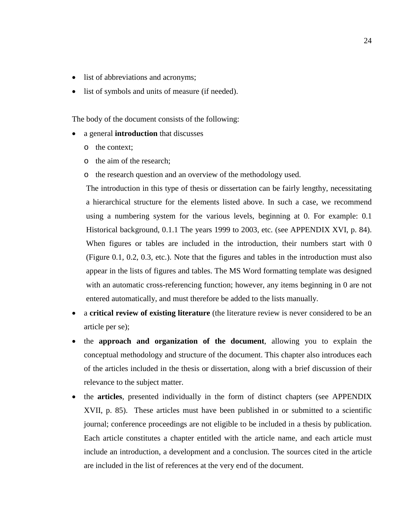- list of abbreviations and acronyms;
- list of symbols and units of measure (if needed).

The body of the document consists of the following:

- a general **introduction** that discusses
	- o the context;
	- o the aim of the research;
	- o the research question and an overview of the methodology used.

The introduction in this type of thesis or dissertation can be fairly lengthy, necessitating a hierarchical structure for the elements listed above. In such a case, we recommend using a numbering system for the various levels, beginning at 0. For example: 0.1 Historical background, 0.1.1 The years 1999 to 2003, etc. (see APPENDIX XVI, p. [84\)](#page-87-0). When figures or tables are included in the introduction, their numbers start with 0 (Figure 0.1, 0.2, 0.3, etc.). Note that the figures and tables in the introduction must also appear in the lists of figures and tables. The MS Word formatting template was designed with an automatic cross-referencing function; however, any items beginning in 0 are not entered automatically, and must therefore be added to the lists manually.

- a **critical review of existing literature** (the literature review is never considered to be an article per se);
- the **approach and organization of the document**, allowing you to explain the conceptual methodology and structure of the document. This chapter also introduces each of the articles included in the thesis or dissertation, along with a brief discussion of their relevance to the subject matter.
- the **articles**, presented individually in the form of distinct chapters (see APPENDIX XVII, p. [85\)](#page-88-0). These articles must have been published in or submitted to a scientific journal; conference proceedings are not eligible to be included in a thesis by publication. Each article constitutes a chapter entitled with the article name, and each article must include an introduction, a development and a conclusion. The sources cited in the article are included in the list of references at the very end of the document.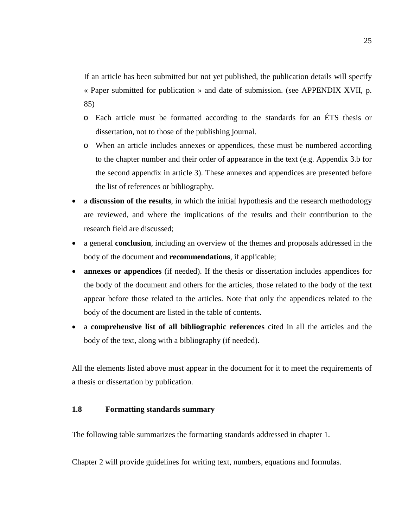If an article has been submitted but not yet published, the publication details will specify « Paper submitted for publication » and date of submission. (see APPENDIX XVII, p. [85\)](#page-88-0)

- o Each article must be formatted according to the standards for an ÉTS thesis or dissertation, not to those of the publishing journal.
- o When an article includes annexes or appendices, these must be numbered according to the chapter number and their order of appearance in the text (e.g. Appendix 3.b for the second appendix in article 3). These annexes and appendices are presented before the list of references or bibliography.
- a **discussion of the results**, in which the initial hypothesis and the research methodology are reviewed, and where the implications of the results and their contribution to the research field are discussed;
- a general **conclusion**, including an overview of the themes and proposals addressed in the body of the document and **recommendations**, if applicable;
- **annexes or appendices** (if needed). If the thesis or dissertation includes appendices for the body of the document and others for the articles, those related to the body of the text appear before those related to the articles. Note that only the appendices related to the body of the document are listed in the table of contents.
- a **comprehensive list of all bibliographic references** cited in all the articles and the body of the text, along with a bibliography (if needed).

All the elements listed above must appear in the document for it to meet the requirements of a thesis or dissertation by publication.

# **1.8 Formatting standards summary**

The following table summarizes the formatting standards addressed in chapter 1.

Chapter 2 will provide guidelines for writing text, numbers, equations and formulas.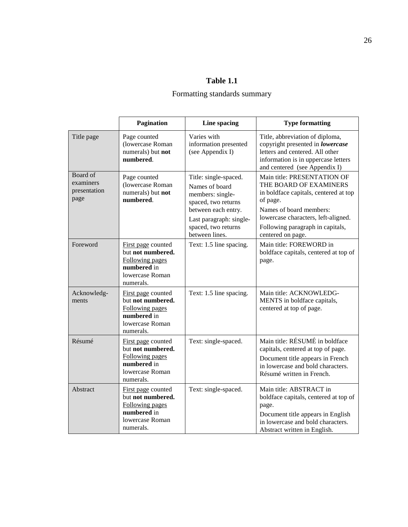# Formatting standards summary

|                                               | Pagination                                                                                                | Line spacing                                                                                                                                                                  | <b>Type formatting</b>                                                                                                                                                                                                                |
|-----------------------------------------------|-----------------------------------------------------------------------------------------------------------|-------------------------------------------------------------------------------------------------------------------------------------------------------------------------------|---------------------------------------------------------------------------------------------------------------------------------------------------------------------------------------------------------------------------------------|
| Title page                                    | Page counted<br>(lowercase Roman<br>numerals) but not<br>numbered.                                        | Varies with<br>information presented<br>(see Appendix I)                                                                                                                      | Title, abbreviation of diploma,<br>copyright presented in lowercase<br>letters and centered. All other<br>information is in uppercase letters<br>and centered (see Appendix I)                                                        |
| Board of<br>examiners<br>presentation<br>page | Page counted<br>(lowercase Roman<br>numerals) but not<br>numbered.                                        | Title: single-spaced.<br>Names of board<br>members: single-<br>spaced, two returns<br>between each entry.<br>Last paragraph: single-<br>spaced, two returns<br>between lines. | Main title: PRESENTATION OF<br>THE BOARD OF EXAMINERS<br>in boldface capitals, centered at top<br>of page.<br>Names of board members:<br>lowercase characters, left-aligned.<br>Following paragraph in capitals,<br>centered on page. |
| Foreword                                      | First page counted<br>but not numbered.<br>Following pages<br>numbered in<br>lowercase Roman<br>numerals. | Text: 1.5 line spacing.                                                                                                                                                       | Main title: FOREWORD in<br>boldface capitals, centered at top of<br>page.                                                                                                                                                             |
| Acknowledg-<br>ments                          | First page counted<br>but not numbered.<br>Following pages<br>numbered in<br>lowercase Roman<br>numerals. | Text: 1.5 line spacing.                                                                                                                                                       | Main title: ACKNOWLEDG-<br>MENTS in boldface capitals,<br>centered at top of page.                                                                                                                                                    |
| Résumé                                        | First page counted<br>but not numbered.<br>Following pages<br>numbered in<br>lowercase Roman<br>numerals. | Text: single-spaced.                                                                                                                                                          | Main title: RÉSUMÉ in boldface<br>capitals, centered at top of page.<br>Document title appears in French<br>in lowercase and bold characters.<br>Résumé written in French.                                                            |
| Abstract                                      | First page counted<br>but not numbered.<br>Following pages<br>numbered in<br>lowercase Roman<br>numerals. | Text: single-spaced.                                                                                                                                                          | Main title: ABSTRACT in<br>boldface capitals, centered at top of<br>page.<br>Document title appears in English<br>in lowercase and bold characters.<br>Abstract written in English.                                                   |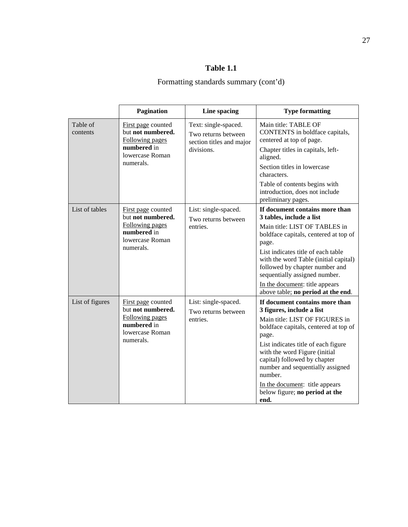|                      | Pagination                                                                                                       | Line spacing                                                                          | <b>Type formatting</b>                                                                                                                                                                                                                                                                                                                                                             |
|----------------------|------------------------------------------------------------------------------------------------------------------|---------------------------------------------------------------------------------------|------------------------------------------------------------------------------------------------------------------------------------------------------------------------------------------------------------------------------------------------------------------------------------------------------------------------------------------------------------------------------------|
| Table of<br>contents | First page counted<br>but not numbered.<br><b>Following pages</b><br>numbered in<br>lowercase Roman<br>numerals. | Text: single-spaced.<br>Two returns between<br>section titles and major<br>divisions. | Main title: TABLE OF<br>CONTENTS in boldface capitals,<br>centered at top of page.<br>Chapter titles in capitals, left-<br>aligned.<br>Section titles in lowercase<br>characters.<br>Table of contents begins with<br>introduction, does not include<br>preliminary pages.                                                                                                         |
| List of tables       | First page counted<br>but not numbered.<br>Following pages<br>numbered in<br>lowercase Roman<br>numerals.        | List: single-spaced.<br>Two returns between<br>entries.                               | If document contains more than<br>3 tables, include a list<br>Main title: LIST OF TABLES in<br>boldface capitals, centered at top of<br>page.<br>List indicates title of each table<br>with the word Table (initial capital)<br>followed by chapter number and<br>sequentially assigned number.<br>In the document: title appears<br>above table; no period at the end.            |
| List of figures      | First page counted<br>but not numbered.<br>Following pages<br>numbered in<br>lowercase Roman<br>numerals.        | List: single-spaced.<br>Two returns between<br>entries.                               | If document contains more than<br>3 figures, include a list<br>Main title: LIST OF FIGURES in<br>boldface capitals, centered at top of<br>page.<br>List indicates title of each figure<br>with the word Figure (initial<br>capital) followed by chapter<br>number and sequentially assigned<br>number.<br>In the document: title appears<br>below figure; no period at the<br>end. |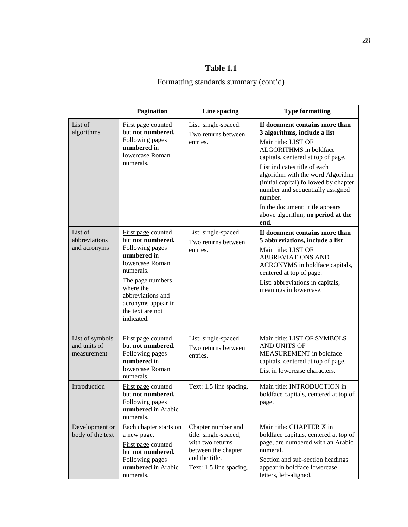|                                                | <b>Pagination</b>                                                                                                                                                                                                       | Line spacing                                                                                                                        | <b>Type formatting</b>                                                                                                                                                                                                                                                                                                                                                                            |
|------------------------------------------------|-------------------------------------------------------------------------------------------------------------------------------------------------------------------------------------------------------------------------|-------------------------------------------------------------------------------------------------------------------------------------|---------------------------------------------------------------------------------------------------------------------------------------------------------------------------------------------------------------------------------------------------------------------------------------------------------------------------------------------------------------------------------------------------|
| List of<br>algorithms                          | First page counted<br>but not numbered.<br>Following pages<br>numbered in<br>lowercase Roman<br>numerals.                                                                                                               | List: single-spaced.<br>Two returns between<br>entries.                                                                             | If document contains more than<br>3 algorithms, include a list<br>Main title: LIST OF<br>ALGORITHMS in boldface<br>capitals, centered at top of page.<br>List indicates title of each<br>algorithm with the word Algorithm<br>(initial capital) followed by chapter<br>number and sequentially assigned<br>number.<br>In the document: title appears<br>above algorithm; no period at the<br>end. |
| List of<br>abbreviations<br>and acronyms       | First page counted<br>but not numbered.<br>Following pages<br>numbered in<br>lowercase Roman<br>numerals.<br>The page numbers<br>where the<br>abbreviations and<br>acronyms appear in<br>the text are not<br>indicated. | List: single-spaced.<br>Two returns between<br>entries.                                                                             | If document contains more than<br>5 abbreviations, include a list<br>Main title: LIST OF<br><b>ABBREVIATIONS AND</b><br>ACRONYMS in boldface capitals,<br>centered at top of page.<br>List: abbreviations in capitals,<br>meanings in lowercase.                                                                                                                                                  |
| List of symbols<br>and units of<br>measurement | First page counted<br>but not numbered.<br>Following pages<br>numbered in<br>lowercase Roman<br>numerals.                                                                                                               | List: single-spaced.<br>Two returns between<br>entries.                                                                             | Main title: LIST OF SYMBOLS<br>AND UNITS OF<br><b>MEASUREMENT</b> in boldface<br>capitals, centered at top of page.<br>List in lowercase characters.                                                                                                                                                                                                                                              |
| Introduction                                   | First page counted<br>but not numbered.<br>Following pages<br>numbered in Arabic<br>numerals.                                                                                                                           | Text: 1.5 line spacing.                                                                                                             | Main title: INTRODUCTION in<br>boldface capitals, centered at top of<br>page.                                                                                                                                                                                                                                                                                                                     |
| Development or<br>body of the text             | Each chapter starts on<br>a new page.<br>First page counted<br>but not numbered.<br>Following pages<br>numbered in Arabic<br>numerals.                                                                                  | Chapter number and<br>title: single-spaced,<br>with two returns<br>between the chapter<br>and the title.<br>Text: 1.5 line spacing. | Main title: CHAPTER X in<br>boldface capitals, centered at top of<br>page, are numbered with an Arabic<br>numeral.<br>Section and sub-section headings<br>appear in boldface lowercase<br>letters, left-aligned.                                                                                                                                                                                  |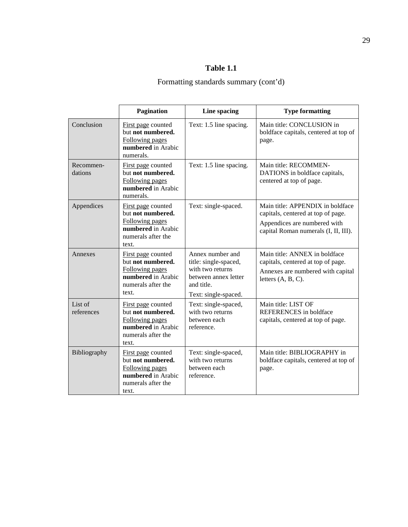|                       | <b>Pagination</b>                                                                                               | Line spacing                                                                                                                | <b>Type formatting</b>                                                                                                                         |
|-----------------------|-----------------------------------------------------------------------------------------------------------------|-----------------------------------------------------------------------------------------------------------------------------|------------------------------------------------------------------------------------------------------------------------------------------------|
| Conclusion            | First page counted<br>but not numbered.<br>Following pages<br>numbered in Arabic<br>numerals.                   | Text: 1.5 line spacing.                                                                                                     | Main title: CONCLUSION in<br>boldface capitals, centered at top of<br>page.                                                                    |
| Recommen-<br>dations  | First page counted<br>but not numbered.<br>Following pages<br>numbered in Arabic<br>numerals.                   | Text: 1.5 line spacing.                                                                                                     | Main title: RECOMMEN-<br>DATIONS in boldface capitals,<br>centered at top of page.                                                             |
| Appendices            | First page counted<br>but not numbered.<br>Following pages<br>numbered in Arabic<br>numerals after the<br>text. | Text: single-spaced.                                                                                                        | Main title: APPENDIX in boldface<br>capitals, centered at top of page.<br>Appendices are numbered with<br>capital Roman numerals (I, II, III). |
| Annexes               | First page counted<br>but not numbered.<br>Following pages<br>numbered in Arabic<br>numerals after the<br>text. | Annex number and<br>title: single-spaced,<br>with two returns<br>between annex letter<br>and title.<br>Text: single-spaced. | Main title: ANNEX in boldface<br>capitals, centered at top of page.<br>Annexes are numbered with capital<br>letters $(A, B, C)$ .              |
| List of<br>references | First page counted<br>but not numbered.<br>Following pages<br>numbered in Arabic<br>numerals after the<br>text. | Text: single-spaced,<br>with two returns<br>between each<br>reference.                                                      | Main title: LIST OF<br>REFERENCES in boldface<br>capitals, centered at top of page.                                                            |
| Bibliography          | First page counted<br>but not numbered.<br>Following pages<br>numbered in Arabic<br>numerals after the<br>text. | Text: single-spaced,<br>with two returns<br>between each<br>reference.                                                      | Main title: BIBLIOGRAPHY in<br>boldface capitals, centered at top of<br>page.                                                                  |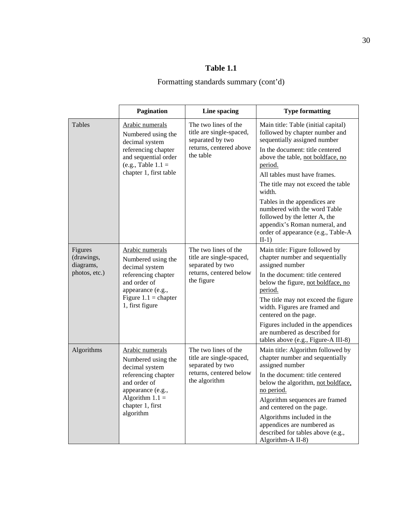|                                                     | <b>Pagination</b>                                                                                                                                                         | Line spacing                                                                                                     | <b>Type formatting</b>                                                                                                                                                                                                                                                                                                                                                                                                                                      |
|-----------------------------------------------------|---------------------------------------------------------------------------------------------------------------------------------------------------------------------------|------------------------------------------------------------------------------------------------------------------|-------------------------------------------------------------------------------------------------------------------------------------------------------------------------------------------------------------------------------------------------------------------------------------------------------------------------------------------------------------------------------------------------------------------------------------------------------------|
| <b>Tables</b>                                       | Arabic numerals<br>Numbered using the<br>decimal system<br>referencing chapter<br>and sequential order<br>(e.g., Table $1.1 =$<br>chapter 1, first table                  | The two lines of the<br>title are single-spaced,<br>separated by two<br>returns, centered above<br>the table     | Main title: Table (initial capital)<br>followed by chapter number and<br>sequentially assigned number<br>In the document: title centered<br>above the table, not boldface, no<br>period.<br>All tables must have frames.<br>The title may not exceed the table<br>width.<br>Tables in the appendices are<br>numbered with the word Table<br>followed by the letter A, the<br>appendix's Roman numeral, and<br>order of appearance (e.g., Table-A<br>$II-1)$ |
| Figures<br>(drawings,<br>diagrams,<br>photos, etc.) | Arabic numerals<br>Numbered using the<br>decimal system<br>referencing chapter<br>and order of<br>appearance (e.g.,<br>Figure $1.1$ = chapter<br>1, first figure          | The two lines of the<br>title are single-spaced,<br>separated by two<br>returns, centered below<br>the figure    | Main title: Figure followed by<br>chapter number and sequentially<br>assigned number<br>In the document: title centered<br>below the figure, not boldface, no<br>period.<br>The title may not exceed the figure<br>width. Figures are framed and<br>centered on the page.<br>Figures included in the appendices<br>are numbered as described for<br>tables above (e.g., Figure-A III-8)                                                                     |
| Algorithms                                          | Arabic numerals<br>Numbered using the<br>decimal system<br>referencing chapter<br>and order of<br>appearance (e.g.,<br>Algorithm $1.1 =$<br>chapter 1, first<br>algorithm | The two lines of the<br>title are single-spaced,<br>separated by two<br>returns, centered below<br>the algorithm | Main title: Algorithm followed by<br>chapter number and sequentially<br>assigned number<br>In the document: title centered<br>below the algorithm, not boldface,<br>no period.<br>Algorithm sequences are framed<br>and centered on the page.<br>Algorithms included in the<br>appendices are numbered as<br>described for tables above (e.g.,<br>Algorithm-A II-8)                                                                                         |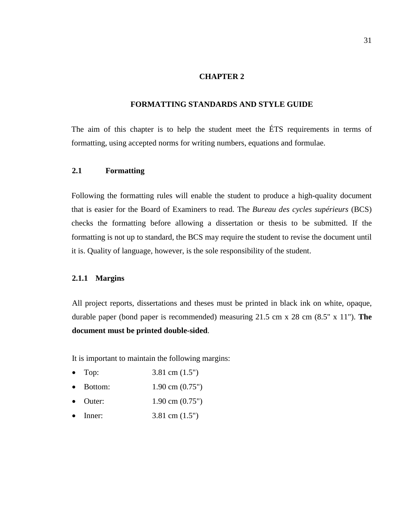# **CHAPTER 2**

#### **FORMATTING STANDARDS AND STYLE GUIDE**

The aim of this chapter is to help the student meet the ÉTS requirements in terms of formatting, using accepted norms for writing numbers, equations and formulae.

#### **2.1 Formatting**

Following the formatting rules will enable the student to produce a high-quality document that is easier for the Board of Examiners to read. The *Bureau des cycles supérieurs* (BCS) checks the formatting before allowing a dissertation or thesis to be submitted. If the formatting is not up to standard, the BCS may require the student to revise the document until it is. Quality of language, however, is the sole responsibility of the student.

# **2.1.1 Margins**

All project reports, dissertations and theses must be printed in black ink on white, opaque, durable paper (bond paper is recommended) measuring 21.5 cm x 28 cm (8.5" x 11"). **The document must be printed double-sided**.

It is important to maintain the following margins:

- Top:  $3.81 \text{ cm} (1.5")$
- **Bottom:** 1.90 cm (0.75")
- Outer: 1.90 cm (0.75")
- Inner:  $3.81 \text{ cm} (1.5")$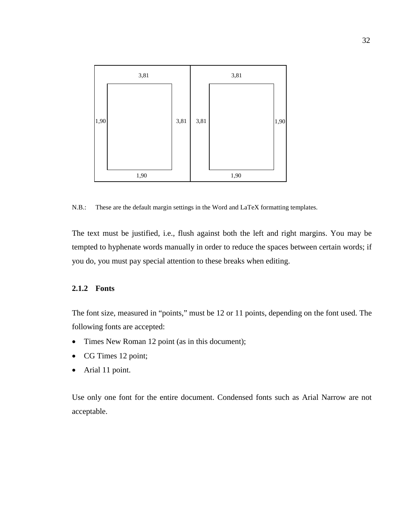

N.B.: These are the default margin settings in the Word and LaTeX formatting templates.

The text must be justified, i.e., flush against both the left and right margins. You may be tempted to hyphenate words manually in order to reduce the spaces between certain words; if you do, you must pay special attention to these breaks when editing.

#### **2.1.2 Fonts**

The font size, measured in "points," must be 12 or 11 points, depending on the font used. The following fonts are accepted:

- Times New Roman 12 point (as in this document);
- CG Times 12 point;
- Arial 11 point.

Use only one font for the entire document. Condensed fonts such as Arial Narrow are not acceptable.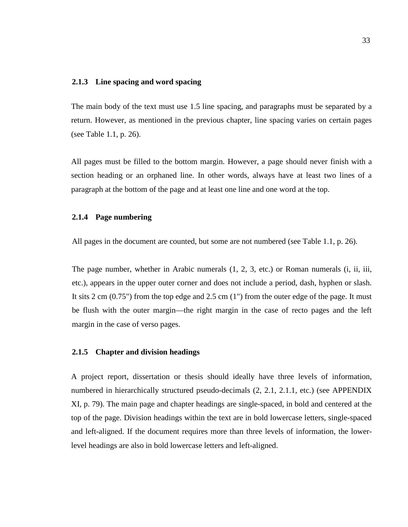#### **2.1.3 Line spacing and word spacing**

The main body of the text must use 1.5 line spacing, and paragraphs must be separated by a return. However, as mentioned in the previous chapter, line spacing varies on certain pages (see [Table 1.1,](#page-29-0) p. [26\)](#page-29-0).

All pages must be filled to the bottom margin. However, a page should never finish with a section heading or an orphaned line. In other words, always have at least two lines of a paragraph at the bottom of the page and at least one line and one word at the top.

#### **2.1.4 Page numbering**

All pages in the document are counted, but some are not numbered (see [Table 1.1,](#page-29-0) p. [26\)](#page-29-0).

The page number, whether in Arabic numerals (1, 2, 3, etc.) or Roman numerals (i, ii, iii, etc.), appears in the upper outer corner and does not include a period, dash, hyphen or slash. It sits 2 cm (0.75") from the top edge and 2.5 cm (1") from the outer edge of the page. It must be flush with the outer margin—the right margin in the case of recto pages and the left margin in the case of verso pages.

#### **2.1.5 Chapter and division headings**

A project report, dissertation or thesis should ideally have three levels of information, numbered in hierarchically structured pseudo-decimals (2, 2.1, 2.1.1, etc.) (see APPENDIX XI, p. [79\)](#page-82-0). The main page and chapter headings are single-spaced, in bold and centered at the top of the page. Division headings within the text are in bold lowercase letters, single-spaced and left-aligned. If the document requires more than three levels of information, the lowerlevel headings are also in bold lowercase letters and left-aligned.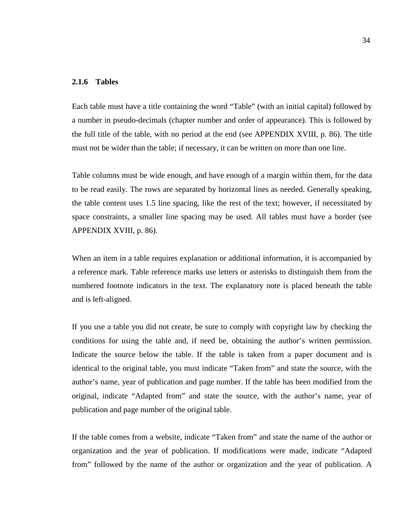#### **2.1.6 Tables**

Each table must have a title containing the word "Table" (with an initial capital) followed by a number in pseudo-decimals (chapter number and order of appearance). This is followed by the full title of the table, with no period at the end (see APPENDIX XVIII, p. [86\)](#page-89-0). The title must not be wider than the table; if necessary, it can be written on more than one line.

Table columns must be wide enough, and have enough of a margin within them, for the data to be read easily. The rows are separated by horizontal lines as needed. Generally speaking, the table content uses 1.5 line spacing, like the rest of the text; however, if necessitated by space constraints, a smaller line spacing may be used. All tables must have a border (see APPENDIX XVIII, p. [86\)](#page-89-0).

When an item in a table requires explanation or additional information, it is accompanied by a reference mark. Table reference marks use letters or asterisks to distinguish them from the numbered footnote indicators in the text. The explanatory note is placed beneath the table and is left-aligned.

If you use a table you did not create, be sure to comply with copyright law by checking the conditions for using the table and, if need be, obtaining the author's written permission. Indicate the source below the table. If the table is taken from a paper document and is identical to the original table, you must indicate "Taken from" and state the source, with the author's name, year of publication and page number. If the table has been modified from the original, indicate "Adapted from" and state the source, with the author's name, year of publication and page number of the original table.

If the table comes from a website, indicate "Taken from" and state the name of the author or organization and the year of publication. If modifications were made, indicate "Adapted from" followed by the name of the author or organization and the year of publication. A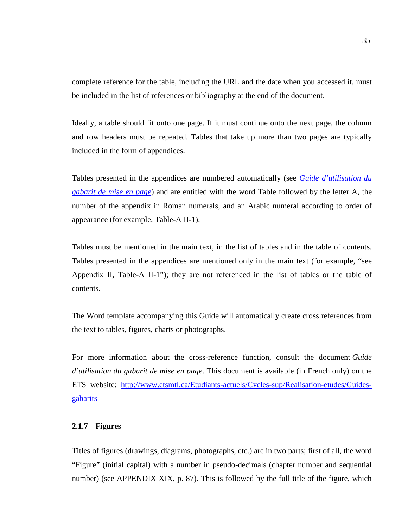complete reference for the table, including the URL and the date when you accessed it, must be included in the list of references or bibliography at the end of the document.

Ideally, a table should fit onto one page. If it must continue onto the next page, the column and row headers must be repeated. Tables that take up more than two pages are typically included in the form of appendices.

Tables presented in the appendices are numbered automatically (see *[Guide d'utilisation du](mailto:http://www.etsmtl.ca/Etudiants-actuels/Cycles-sup/Realisation-etudes/Guides-gabarits/Directive_gabarit_These_2003)  [gabarit de mise en page](mailto:http://www.etsmtl.ca/Etudiants-actuels/Cycles-sup/Realisation-etudes/Guides-gabarits/Directive_gabarit_These_2003)*) and are entitled with the word Table followed by the letter A, the number of the appendix in Roman numerals, and an Arabic numeral according to order of appearance (for example, Table-A II-1).

Tables must be mentioned in the main text, in the list of tables and in the table of contents. Tables presented in the appendices are mentioned only in the main text (for example, "see Appendix II, Table-A II-1"); they are not referenced in the list of tables or the table of contents.

The Word template accompanying this Guide will automatically create cross references from the text to tables, figures, charts or photographs.

For more information about the cross-reference function, consult the document *Guide d'utilisation du gabarit de mise en page*. This document is available (in French only) on the ETS website: [http://www.etsmtl.ca/Etudiants-actuels/Cycles-sup/Realisation-etudes/Guides](http://www.etsmtl.ca/Etudiants-actuels/Cycles-sup/Realisation-etudes/Guides-gabarits)[gabarits](http://www.etsmtl.ca/Etudiants-actuels/Cycles-sup/Realisation-etudes/Guides-gabarits)

# **2.1.7 Figures**

Titles of figures (drawings, diagrams, photographs, etc.) are in two parts; first of all, the word "Figure" (initial capital) with a number in pseudo-decimals (chapter number and sequential number) (see APPENDIX XIX, p. [87\)](#page-90-0). This is followed by the full title of the figure, which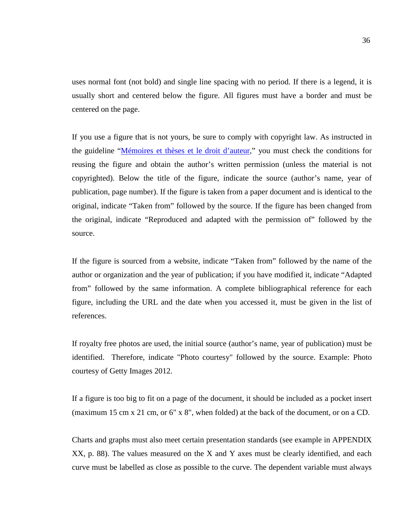uses normal font (not bold) and single line spacing with no period. If there is a legend, it is usually short and centered below the figure. All figures must have a border and must be centered on the page.

If you use a figure that is not yours, be sure to comply with copyright law. As instructed in the guideline ["Mémoires et thèses et le droit d'auteur,](http://www.etsmtl.ca/Etudiants-actuels/Cycles-sup/Realisation-etudes/Guides-gabarits/MT-et-le-droit-d-auteur)" you must check the conditions for reusing the figure and obtain the author's written permission (unless the material is not copyrighted). Below the title of the figure, indicate the source (author's name, year of publication, page number). If the figure is taken from a paper document and is identical to the original, indicate "Taken from" followed by the source. If the figure has been changed from the original, indicate "Reproduced and adapted with the permission of" followed by the source.

If the figure is sourced from a website, indicate "Taken from" followed by the name of the author or organization and the year of publication; if you have modified it, indicate "Adapted from" followed by the same information. A complete bibliographical reference for each figure, including the URL and the date when you accessed it, must be given in the list of references.

If royalty free photos are used, the initial source (author's name, year of publication) must be identified. Therefore, indicate "Photo courtesy" followed by the source. Example: Photo courtesy of Getty Images 2012.

If a figure is too big to fit on a page of the document, it should be included as a pocket insert (maximum 15 cm x 21 cm, or 6" x 8", when folded) at the back of the document, or on a CD.

Charts and graphs must also meet certain presentation standards (see example in APPENDIX XX, p. [88\)](#page-91-0). The values measured on the X and Y axes must be clearly identified, and each curve must be labelled as close as possible to the curve. The dependent variable must always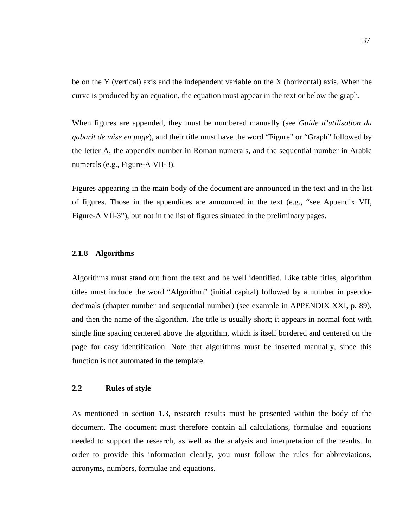be on the Y (vertical) axis and the independent variable on the X (horizontal) axis. When the curve is produced by an equation, the equation must appear in the text or below the graph.

When figures are appended, they must be numbered manually (see *Guide d'utilisation du gabarit de mise en page*), and their title must have the word "Figure" or "Graph" followed by the letter A, the appendix number in Roman numerals, and the sequential number in Arabic numerals (e.g., Figure-A VII-3).

Figures appearing in the main body of the document are announced in the text and in the list of figures. Those in the appendices are announced in the text (e.g., "see Appendix VII, Figure-A VII-3"), but not in the list of figures situated in the preliminary pages.

#### **2.1.8 Algorithms**

Algorithms must stand out from the text and be well identified. Like table titles, algorithm titles must include the word "Algorithm" (initial capital) followed by a number in pseudodecimals (chapter number and sequential number) (see example in APPENDIX XXI, p. [89\)](#page-92-0), and then the name of the algorithm. The title is usually short; it appears in normal font with single line spacing centered above the algorithm, which is itself bordered and centered on the page for easy identification. Note that algorithms must be inserted manually, since this function is not automated in the template.

## **2.2 Rules of style**

As mentioned in section 1.3, research results must be presented within the body of the document. The document must therefore contain all calculations, formulae and equations needed to support the research, as well as the analysis and interpretation of the results. In order to provide this information clearly, you must follow the rules for abbreviations, acronyms, numbers, formulae and equations.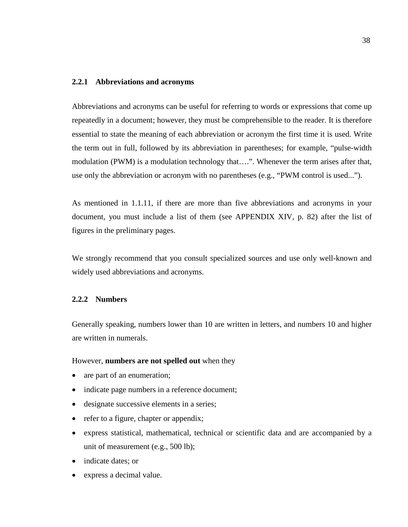#### **2.2.1 Abbreviations and acronyms**

Abbreviations and acronyms can be useful for referring to words or expressions that come up repeatedly in a document; however, they must be comprehensible to the reader. It is therefore essential to state the meaning of each abbreviation or acronym the first time it is used. Write the term out in full, followed by its abbreviation in parentheses; for example, "pulse-width modulation (PWM) is a modulation technology that….". Whenever the term arises after that, use only the abbreviation or acronym with no parentheses (e.g., "PWM control is used...").

As mentioned in 1.1.11, if there are more than five abbreviations and acronyms in your document, you must include a list of them (see APPENDIX XIV, p. [82\)](#page-85-0) after the list of figures in the preliminary pages.

We strongly recommend that you consult specialized sources and use only well-known and widely used abbreviations and acronyms.

#### **2.2.2 Numbers**

Generally speaking, numbers lower than 10 are written in letters, and numbers 10 and higher are written in numerals.

#### However, **numbers are not spelled out** when they

- are part of an enumeration;
- indicate page numbers in a reference document;
- designate successive elements in a series;
- refer to a figure, chapter or appendix;
- express statistical, mathematical, technical or scientific data and are accompanied by a unit of measurement (e.g., 500 lb);
- indicate dates; or
- express a decimal value.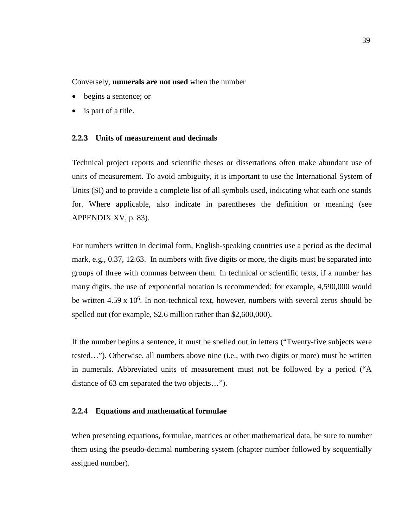Conversely, **numerals are not used** when the number

- begins a sentence; or
- is part of a title.

#### **2.2.3 Units of measurement and decimals**

Technical project reports and scientific theses or dissertations often make abundant use of units of measurement. To avoid ambiguity, it is important to use the International System of Units (SI) and to provide a complete list of all symbols used, indicating what each one stands for. Where applicable, also indicate in parentheses the definition or meaning (see APPENDIX XV, p. [83\)](#page-86-0).

For numbers written in decimal form, English-speaking countries use a period as the decimal mark, e.g., 0.37, 12.63. In numbers with five digits or more, the digits must be separated into groups of three with commas between them. In technical or scientific texts, if a number has many digits, the use of exponential notation is recommended; for example, 4,590,000 would be written  $4.59 \times 10^6$ . In non-technical text, however, numbers with several zeros should be spelled out (for example, \$2.6 million rather than \$2,600,000).

If the number begins a sentence, it must be spelled out in letters ("Twenty-five subjects were tested…"). Otherwise, all numbers above nine (i.e., with two digits or more) must be written in numerals. Abbreviated units of measurement must not be followed by a period ("A distance of 63 cm separated the two objects…").

#### **2.2.4 Equations and mathematical formulae**

When presenting equations, formulae, matrices or other mathematical data, be sure to number them using the pseudo-decimal numbering system (chapter number followed by sequentially assigned number).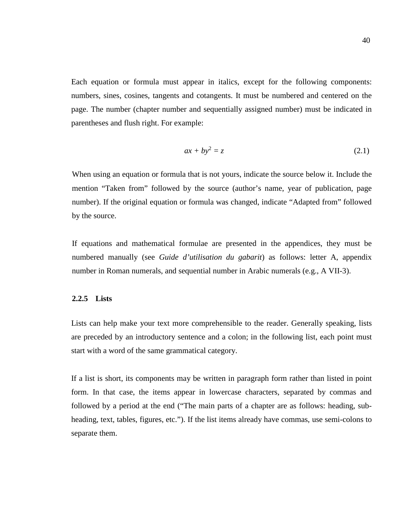Each equation or formula must appear in italics, except for the following components: numbers, sines, cosines, tangents and cotangents. It must be numbered and centered on the page. The number (chapter number and sequentially assigned number) must be indicated in parentheses and flush right. For example:

$$
ax + by^2 = z \tag{2.1}
$$

When using an equation or formula that is not yours, indicate the source below it. Include the mention "Taken from" followed by the source (author's name, year of publication, page number). If the original equation or formula was changed, indicate "Adapted from" followed by the source.

If equations and mathematical formulae are presented in the appendices, they must be numbered manually (see *Guide d'utilisation du gabarit*) as follows: letter A, appendix number in Roman numerals, and sequential number in Arabic numerals (e.g., A VII-3).

#### **2.2.5 Lists**

Lists can help make your text more comprehensible to the reader. Generally speaking, lists are preceded by an introductory sentence and a colon; in the following list, each point must start with a word of the same grammatical category.

If a list is short, its components may be written in paragraph form rather than listed in point form. In that case, the items appear in lowercase characters, separated by commas and followed by a period at the end ("The main parts of a chapter are as follows: heading, subheading, text, tables, figures, etc."). If the list items already have commas, use semi-colons to separate them.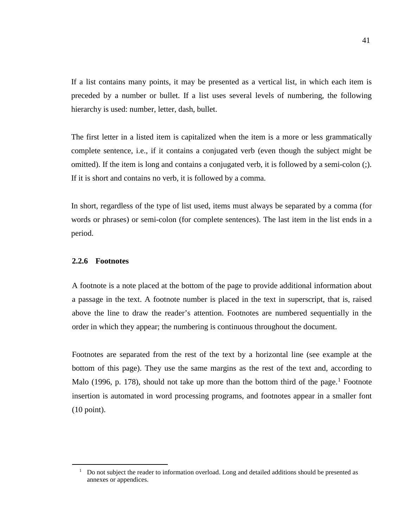If a list contains many points, it may be presented as a vertical list, in which each item is preceded by a number or bullet. If a list uses several levels of numbering, the following hierarchy is used: number, letter, dash, bullet.

The first letter in a listed item is capitalized when the item is a more or less grammatically complete sentence, i.e., if it contains a conjugated verb (even though the subject might be omitted). If the item is long and contains a conjugated verb, it is followed by a semi-colon (;). If it is short and contains no verb, it is followed by a comma.

In short, regardless of the type of list used, items must always be separated by a comma (for words or phrases) or semi-colon (for complete sentences). The last item in the list ends in a period.

### **2.2.6 Footnotes**

A footnote is a note placed at the bottom of the page to provide additional information about a passage in the text. A footnote number is placed in the text in superscript, that is, raised above the line to draw the reader's attention. Footnotes are numbered sequentially in the order in which they appear; the numbering is continuous throughout the document.

Footnotes are separated from the rest of the text by a horizontal line (see example at the bottom of this page). They use the same margins as the rest of the text and, according to Malo ([1](#page-44-0)996, p. 178), should not take up more than the bottom third of the page.<sup>1</sup> Footnote insertion is automated in word processing programs, and footnotes appear in a smaller font (10 point).

<span id="page-44-0"></span> $1$  Do not subject the reader to information overload. Long and detailed additions should be presented as annexes or appendices.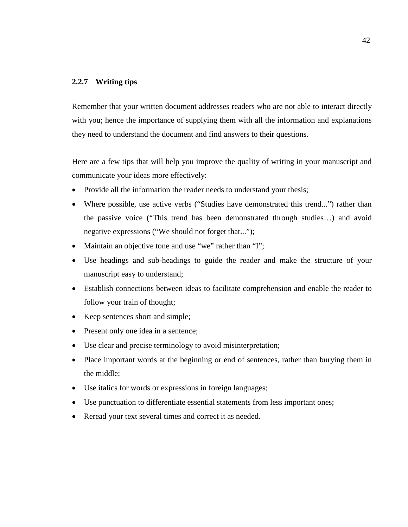#### **2.2.7 Writing tips**

Remember that your written document addresses readers who are not able to interact directly with you; hence the importance of supplying them with all the information and explanations they need to understand the document and find answers to their questions.

Here are a few tips that will help you improve the quality of writing in your manuscript and communicate your ideas more effectively:

- Provide all the information the reader needs to understand your thesis;
- Where possible, use active verbs ("Studies have demonstrated this trend...") rather than the passive voice ("This trend has been demonstrated through studies…) and avoid negative expressions ("We should not forget that...");
- Maintain an objective tone and use "we" rather than "I";
- Use headings and sub-headings to guide the reader and make the structure of your manuscript easy to understand;
- Establish connections between ideas to facilitate comprehension and enable the reader to follow your train of thought;
- Keep sentences short and simple;
- Present only one idea in a sentence;
- Use clear and precise terminology to avoid misinterpretation;
- Place important words at the beginning or end of sentences, rather than burying them in the middle;
- Use italics for words or expressions in foreign languages;
- Use punctuation to differentiate essential statements from less important ones;
- Reread your text several times and correct it as needed.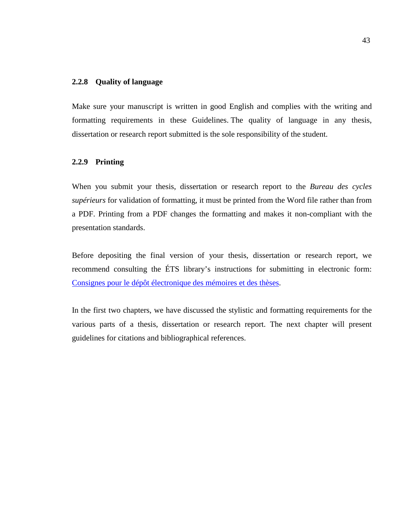#### **2.2.8 Quality of language**

Make sure your manuscript is written in good English and complies with the writing and formatting requirements in these Guidelines. The quality of language in any thesis, dissertation or research report submitted is the sole responsibility of the student.

#### **2.2.9 Printing**

When you submit your thesis, dissertation or research report to the *Bureau des cycles supérieurs* for validation of formatting, it must be printed from the Word file rather than from a PDF. Printing from a PDF changes the formatting and makes it non-compliant with the presentation standards.

Before depositing the final version of your thesis, dissertation or research report, we recommend consulting the ÉTS library's instructions for submitting in electronic form: [Consignes pour le dépôt électronique des mémoires et des thèses.](http://en.etsmtl.ca/Etudiants-actuels/Cycles-sup/Realisation-etudes/Guides-gabarits/Consignes)

In the first two chapters, we have discussed the stylistic and formatting requirements for the various parts of a thesis, dissertation or research report. The next chapter will present guidelines for citations and bibliographical references.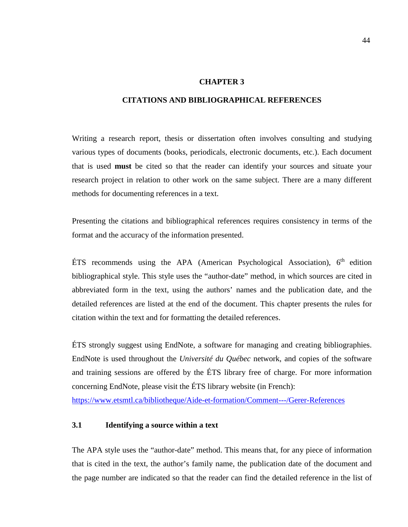#### **CHAPTER 3**

#### **CITATIONS AND BIBLIOGRAPHICAL REFERENCES**

Writing a research report, thesis or dissertation often involves consulting and studying various types of documents (books, periodicals, electronic documents, etc.). Each document that is used **must** be cited so that the reader can identify your sources and situate your research project in relation to other work on the same subject. There are a many different methods for documenting references in a text.

Presenting the citations and bibliographical references requires consistency in terms of the format and the accuracy of the information presented.

ETS recommends using the APA (American Psychological Association),  $6<sup>th</sup>$  edition bibliographical style. This style uses the "author-date" method, in which sources are cited in abbreviated form in the text, using the authors' names and the publication date, and the detailed references are listed at the end of the document. This chapter presents the rules for citation within the text and for formatting the detailed references.

ÉTS strongly suggest using EndNote, a software for managing and creating bibliographies. EndNote is used throughout the *Université du Québec* network, and copies of the software and training sessions are offered by the ÉTS library free of charge. For more information concerning EndNote, please visit the ÉTS library website (in French): <https://www.etsmtl.ca/bibliotheque/Aide-et-formation/Comment---/Gerer-References>

# **3.1 Identifying a source within a text**

The APA style uses the "author-date" method. This means that, for any piece of information that is cited in the text, the author's family name, the publication date of the document and the page number are indicated so that the reader can find the detailed reference in the list of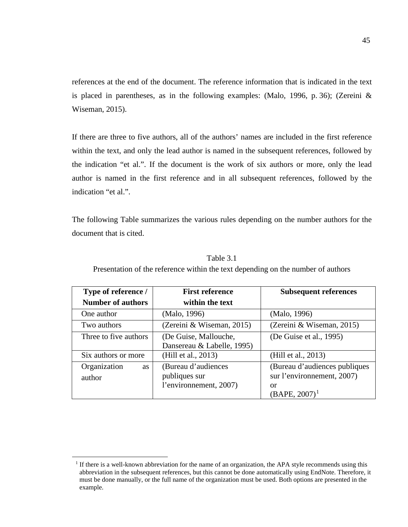references at the end of the document. The reference information that is indicated in the text is placed in parentheses, as in the following examples: (Malo, 1996, p. 36); (Zereini & Wiseman, 2015).

If there are three to five authors, all of the authors' names are included in the first reference within the text, and only the lead author is named in the subsequent references, followed by the indication "et al.". If the document is the work of six authors or more, only the lead author is named in the first reference and in all subsequent references, followed by the indication "et al.".

The following Table summarizes the various rules depending on the number authors for the document that is cited.

| Type of reference /                 | <b>First reference</b>                                         | <b>Subsequent references</b>                                                          |
|-------------------------------------|----------------------------------------------------------------|---------------------------------------------------------------------------------------|
| <b>Number of authors</b>            | within the text                                                |                                                                                       |
| One author                          | (Malo, 1996)                                                   | (Malo, 1996)                                                                          |
| Two authors                         | (Zereini & Wiseman, 2015)                                      | (Zereini & Wiseman, 2015)                                                             |
| Three to five authors               | (De Guise, Mallouche,<br>Dansereau & Labelle, 1995)            | (De Guise et al., 1995)                                                               |
| Six authors or more                 | (Hill et al., 2013)                                            | (Hill et al., 2013)                                                                   |
| Organization<br><b>as</b><br>author | (Bureau d'audiences<br>publiques sur<br>l'environnement, 2007) | (Bureau d'audiences publiques<br>sur l'environnement, 2007)<br>or<br>$(BAPE, 2007)^1$ |

Table 3.1

Presentation of the reference within the text depending on the number of authors

<span id="page-48-0"></span><sup>&</sup>lt;sup>1</sup> If there is a well-known abbreviation for the name of an organization, the APA style recommends using this abbreviation in the subsequent references, but this cannot be done automatically using EndNote. Therefore, it must be done manually, or the full name of the organization must be used. Both options are presented in the example.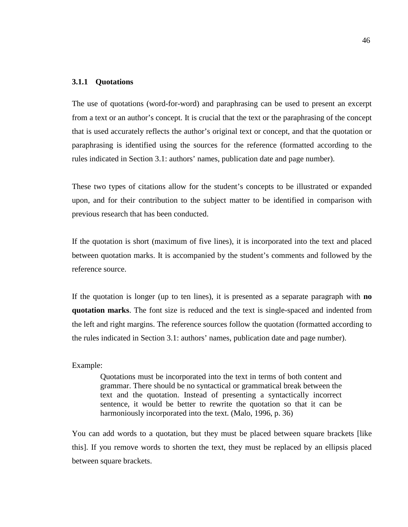#### **3.1.1 Quotations**

The use of quotations (word-for-word) and paraphrasing can be used to present an excerpt from a text or an author's concept. It is crucial that the text or the paraphrasing of the concept that is used accurately reflects the author's original text or concept, and that the quotation or paraphrasing is identified using the sources for the reference (formatted according to the rules indicated in Section 3.1: authors' names, publication date and page number).

These two types of citations allow for the student's concepts to be illustrated or expanded upon, and for their contribution to the subject matter to be identified in comparison with previous research that has been conducted.

If the quotation is short (maximum of five lines), it is incorporated into the text and placed between quotation marks. It is accompanied by the student's comments and followed by the reference source.

If the quotation is longer (up to ten lines), it is presented as a separate paragraph with **no quotation marks**. The font size is reduced and the text is single-spaced and indented from the left and right margins. The reference sources follow the quotation (formatted according to the rules indicated in Section 3.1: authors' names, publication date and page number).

### Example:

Quotations must be incorporated into the text in terms of both content and grammar. There should be no syntactical or grammatical break between the text and the quotation. Instead of presenting a syntactically incorrect sentence, it would be better to rewrite the quotation so that it can be harmoniously incorporated into the text. (Malo, 1996, p. 36)

You can add words to a quotation, but they must be placed between square brackets [like this]. If you remove words to shorten the text, they must be replaced by an ellipsis placed between square brackets.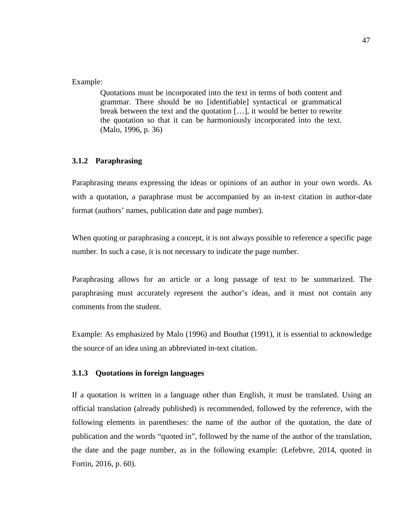# Example:

Quotations must be incorporated into the text in terms of both content and grammar. There should be no [identifiable] syntactical or grammatical break between the text and the quotation […], it would be better to rewrite the quotation so that it can be harmoniously incorporated into the text. (Malo, 1996, p. 36)

# **3.1.2 Paraphrasing**

Paraphrasing means expressing the ideas or opinions of an author in your own words. As with a quotation, a paraphrase must be accompanied by an in-text citation in author-date format (authors' names, publication date and page number).

When quoting or paraphrasing a concept, it is not always possible to reference a specific page number. In such a case, it is not necessary to indicate the page number.

Paraphrasing allows for an article or a long passage of text to be summarized. The paraphrasing must accurately represent the author's ideas, and it must not contain any comments from the student.

Example: As emphasized by Malo (1996) and Bouthat (1991), it is essential to acknowledge the source of an idea using an abbreviated in-text citation.

#### **3.1.3 Quotations in foreign languages**

If a quotation is written in a language other than English, it must be translated. Using an official translation (already published) is recommended, followed by the reference, with the following elements in parentheses: the name of the author of the quotation, the date of publication and the words "quoted in", followed by the name of the author of the translation, the date and the page number, as in the following example: (Lefebvre, 2014, quoted in Fortin, 2016, p. 60).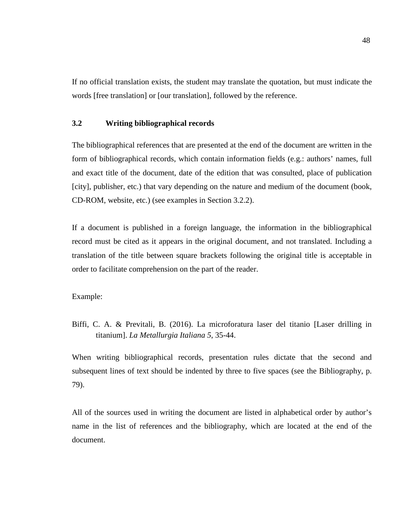If no official translation exists, the student may translate the quotation, but must indicate the words [free translation] or [our translation], followed by the reference.

# **3.2 Writing bibliographical records**

The bibliographical references that are presented at the end of the document are written in the form of bibliographical records, which contain information fields (e.g.: authors' names, full and exact title of the document, date of the edition that was consulted, place of publication [city], publisher, etc.) that vary depending on the nature and medium of the document (book, CD-ROM, website, etc.) (see examples in Section [3.2.2\)](#page-54-0).

If a document is published in a foreign language, the information in the bibliographical record must be cited as it appears in the original document, and not translated. Including a translation of the title between square brackets following the original title is acceptable in order to facilitate comprehension on the part of the reader.

Example:

Biffi, C. A. & Previtali, B. (2016). La microforatura laser del titanio [Laser drilling in titanium]. *La Metallurgia Italiana 5*, 35-44.

When writing bibliographical records, presentation rules dictate that the second and subsequent lines of text should be indented by three to five spaces (see the Bibliography, p. 79).

All of the sources used in writing the document are listed in alphabetical order by author's name in the list of references and the bibliography, which are located at the end of the document.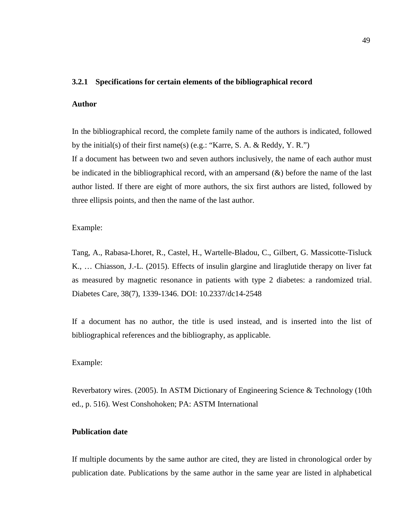#### **3.2.1 Specifications for certain elements of the bibliographical record**

#### **Author**

In the bibliographical record, the complete family name of the authors is indicated, followed by the initial(s) of their first name(s) (e.g.: "Karre, S. A. & Reddy, Y. R.")

If a document has between two and seven authors inclusively, the name of each author must be indicated in the bibliographical record, with an ampersand  $(x)$  before the name of the last author listed. If there are eight of more authors, the six first authors are listed, followed by three ellipsis points, and then the name of the last author.

#### Example:

Tang, A., Rabasa-Lhoret, R., Castel, H., Wartelle-Bladou, C., Gilbert, G. Massicotte-Tisluck K., … Chiasson, J.-L. (2015). Effects of insulin glargine and liraglutide therapy on liver fat as measured by magnetic resonance in patients with type 2 diabetes: a randomized trial. Diabetes Care, 38(7), 1339-1346. DOI: 10.2337/dc14-2548

If a document has no author, the title is used instead, and is inserted into the list of bibliographical references and the bibliography, as applicable.

#### Example:

Reverbatory wires. (2005). In ASTM Dictionary of Engineering Science & Technology (10th ed., p. 516). West Conshohoken; PA: ASTM International

### **Publication date**

If multiple documents by the same author are cited, they are listed in chronological order by publication date. Publications by the same author in the same year are listed in alphabetical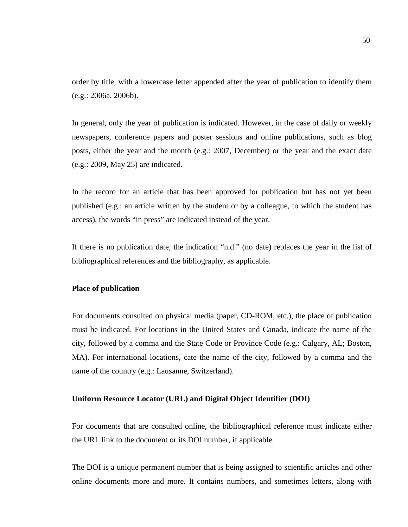order by title, with a lowercase letter appended after the year of publication to identify them (e.g.: 2006a, 2006b).

In general, only the year of publication is indicated. However, in the case of daily or weekly newspapers, conference papers and poster sessions and online publications, such as blog posts, either the year and the month (e.g.: 2007, December) or the year and the exact date (e.g.: 2009, May 25) are indicated.

In the record for an article that has been approved for publication but has not yet been published (e.g.: an article written by the student or by a colleague, to which the student has access), the words "in press" are indicated instead of the year.

If there is no publication date, the indication "n.d." (no date) replaces the year in the list of bibliographical references and the bibliography, as applicable.

## **Place of publication**

For documents consulted on physical media (paper, CD-ROM, etc.), the place of publication must be indicated. For locations in the United States and Canada, indicate the name of the city, followed by a comma and the State Code or Province Code (e.g.: Calgary, AL; Boston, MA). For international locations, cate the name of the city, followed by a comma and the name of the country (e.g.: Lausanne, Switzerland).

#### **Uniform Resource Locator (URL) and Digital Object Identifier (DOI)**

For documents that are consulted online, the bibliographical reference must indicate either the URL link to the document or its DOI number, if applicable.

The DOI is a unique permanent number that is being assigned to scientific articles and other online documents more and more. It contains numbers, and sometimes letters, along with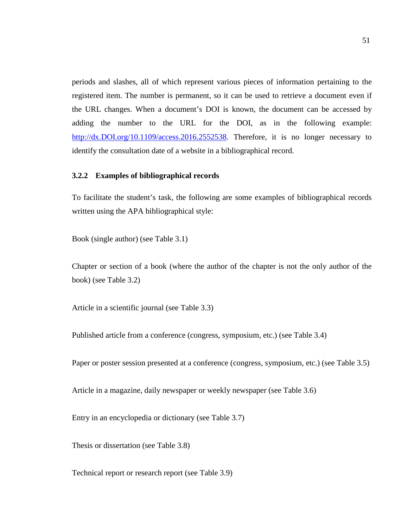periods and slashes, all of which represent various pieces of information pertaining to the registered item. The number is permanent, so it can be used to retrieve a document even if the URL changes. When a document's DOI is known, the document can be accessed by adding the number to the URL for the DOI, as in the following example: [http://dx.DOI.org/10.1109/access.2016.2552538.](http://dx.doi.org/10.1109/access.2016.2552538) Therefore, it is no longer necessary to identify the consultation date of a website in a bibliographical record.

#### <span id="page-54-0"></span>**3.2.2 Examples of bibliographical records**

To facilitate the student's task, the following are some examples of bibliographical records written using the APA bibliographical style:

Book (single author) (see Table 3.1)

Chapter or section of a book (where the author of the chapter is not the only author of the book) (see Table 3.2)

Article in a scientific journal (see Table 3.3)

Published article from a conference (congress, symposium, etc.) (see Table 3.4)

Paper or poster session presented at a conference (congress, symposium, etc.) (see Table 3.5)

Article in a magazine, daily newspaper or weekly newspaper (see Table 3.6)

Entry in an encyclopedia or dictionary (see Table 3.7)

Thesis or dissertation (see Table 3.8)

Technical report or research report (see Table 3.9)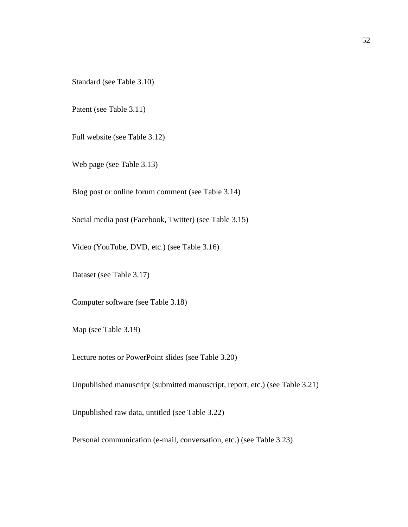Standard (see Table 3.10)

Patent (see Table 3.11)

Full website (see Table 3.12)

Web page (see Table 3.13)

Blog post or online forum comment (see Table 3.14)

Social media post (Facebook, Twitter) (see Table 3.15)

Video (YouTube, DVD, etc.) (see Table 3.16)

Dataset (see Table 3.17)

Computer software (see Table 3.18)

Map (see Table 3.19)

Lecture notes or PowerPoint slides (see Table 3.20)

Unpublished manuscript (submitted manuscript, report, etc.) (see Table 3.21)

Unpublished raw data, untitled (see Table 3.22)

Personal communication (e-mail, conversation, etc.) (see Table 3.23)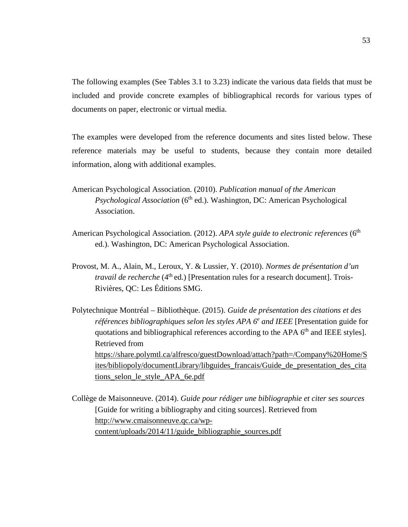The following examples (See Tables 3.1 to 3.23) indicate the various data fields that must be included and provide concrete examples of bibliographical records for various types of documents on paper, electronic or virtual media.

The examples were developed from the reference documents and sites listed below. These reference materials may be useful to students, because they contain more detailed information, along with additional examples.

- American Psychological Association. (2010). *Publication manual of the American Psychological Association* (6<sup>th</sup> ed.). Washington, DC: American Psychological Association.
- American Psychological Association. (2012). *APA style guide to electronic references* (6<sup>th</sup> ed.). Washington, DC: American Psychological Association.
- Provost, M. A., Alain, M., Leroux, Y. & Lussier, Y. (2010). *Normes de présentation d'un travail de recherche* (4<sup>th</sup> ed.) [Presentation rules for a research document]. Trois-Rivières, QC: Les Éditions SMG.
- Polytechnique Montréal Bibliothèque. (2015). *Guide de présentation des citations et des références bibliographiques selon les styles APA 6e and IEEE* [Presentation guide for quotations and bibliographical references according to the APA  $6<sup>th</sup>$  and IEEE styles]. Retrieved from [https://share.polymtl.ca/alfresco/guestDownload/attach?path=/Company%20Home/S](https://share.polymtl.ca/alfresco/guestDownload/attach?path=/Company%20Home/Sites/bibliopoly/documentLibrary/libguides_francais/Guide_de_presentation_des_citations_selon_le_style_APA_6e.pdf) [ites/bibliopoly/documentLibrary/libguides\\_francais/Guide\\_de\\_presentation\\_des\\_cita](https://share.polymtl.ca/alfresco/guestDownload/attach?path=/Company%20Home/Sites/bibliopoly/documentLibrary/libguides_francais/Guide_de_presentation_des_citations_selon_le_style_APA_6e.pdf) [tions\\_selon\\_le\\_style\\_APA\\_6e.pdf](https://share.polymtl.ca/alfresco/guestDownload/attach?path=/Company%20Home/Sites/bibliopoly/documentLibrary/libguides_francais/Guide_de_presentation_des_citations_selon_le_style_APA_6e.pdf)
- Collège de Maisonneuve. (2014). *Guide pour rédiger une bibliographie et citer ses sources*  [Guide for writing a bibliography and citing sources]. Retrieved from [http://www.cmaisonneuve.qc.ca/wp](http://www.cmaisonneuve.qc.ca/wp-content/uploads/2014/11/guide_bibliographie_sources.pdf)[content/uploads/2014/11/guide\\_bibliographie\\_sources.pdf](http://www.cmaisonneuve.qc.ca/wp-content/uploads/2014/11/guide_bibliographie_sources.pdf)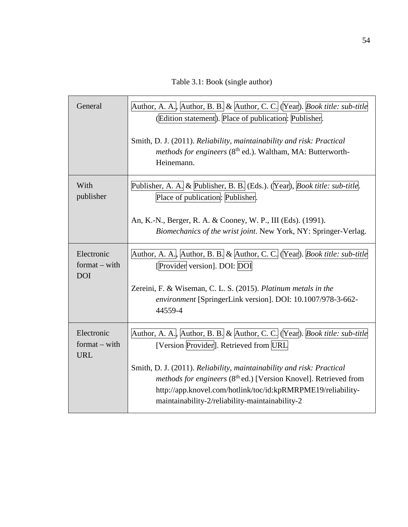Table 3.1: Book (single author)

| General                                     | Author, A. A., Author, B. B. & Author, C. C. (Year). <i>Book title: sub-title</i><br>(Edition statement). Place of publication: Publisher.<br>Smith, D. J. (2011). Reliability, maintainability and risk: Practical<br>methods for engineers (8 <sup>th</sup> ed.). Waltham, MA: Butterworth-<br>Heinemann.                                                                                      |
|---------------------------------------------|--------------------------------------------------------------------------------------------------------------------------------------------------------------------------------------------------------------------------------------------------------------------------------------------------------------------------------------------------------------------------------------------------|
| With<br>publisher                           | Publisher, A. A. & Publisher, B. B. (Eds.). (Year), Book title: sub-title.<br>Place of publication: Publisher.<br>An, K.-N., Berger, R. A. & Cooney, W. P., III (Eds). (1991).<br>Biomechanics of the wrist joint. New York, NY: Springer-Verlag.                                                                                                                                                |
| Electronic<br>$format - with$<br><b>DOI</b> | Author, A. A., Author, B. B. & Author, C. C. (Year). Book title: sub-title<br>[Provider version]. DOI: DOI<br>Zereini, F. & Wiseman, C. L. S. (2015). Platinum metals in the<br>environment [SpringerLink version]. DOI: 10.1007/978-3-662-<br>44559-4                                                                                                                                           |
| Electronic<br>$format - with$<br><b>URL</b> | Author, A. A., Author, B. B. & Author, C. C. (Year). Book title: sub-title<br>[Version Provider]. Retrieved from URL<br>Smith, D. J. (2011). Reliability, maintainability and risk: Practical<br>methods for engineers (8 <sup>th</sup> ed.) [Version Knovel]. Retrieved from<br>http://app.knovel.com/hotlink/toc/id:kpRMRPME19/reliability-<br>maintainability-2/reliability-maintainability-2 |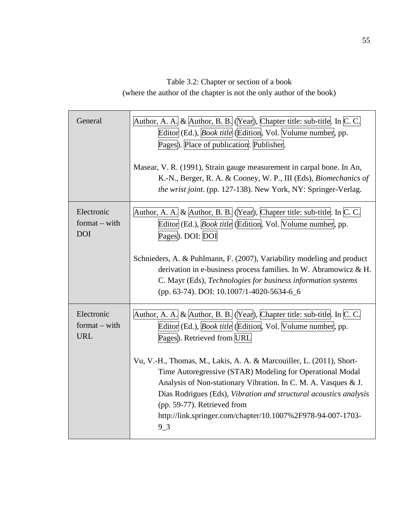Table 3.2: Chapter or section of a book (where the author of the chapter is not the only author of the book)

| General                                     | Author, A. A. & Author, B. B. (Year), Chapter title: sub-title. In C. C.<br>Editor (Ed.), <i>Book title</i> (Edition, Vol. Volume number, pp.<br>Pages). Place of publication: Publisher.                                                                                                                                                                                       |  |  |  |
|---------------------------------------------|---------------------------------------------------------------------------------------------------------------------------------------------------------------------------------------------------------------------------------------------------------------------------------------------------------------------------------------------------------------------------------|--|--|--|
|                                             | Masear, V. R. (1991), Strain gauge measurement in carpal bone. In An,<br>K.-N., Berger, R. A. & Cooney, W. P., III (Eds), Biomechanics of<br>the wrist joint. (pp. 127-138). New York, NY: Springer-Verlag.                                                                                                                                                                     |  |  |  |
| Electronic<br>$format - with$<br><b>DOI</b> | Author, A. A. & Author, B. B. (Year), Chapter title: sub-title. In C. C.<br>Editor (Ed.), <i>Book title</i> (Edition, Vol. Volume number, pp.<br>Pages). DOI: DOI                                                                                                                                                                                                               |  |  |  |
|                                             | Schnieders, A. & Puhlmann, F. (2007), Variability modeling and product<br>derivation in e-business process families. In W. Abramowicz & H.<br>C. Mayr (Eds), Technologies for business information systems<br>(pp. 63-74). DOI: 10.1007/1-4020-5634-6_6                                                                                                                         |  |  |  |
| Electronic<br>$format - with$<br><b>URL</b> | Author, A. A. & Author, B. B. (Year), Chapter title: sub-title. In C. C.<br>Editor (Ed.), <i>Book title</i> (Edition, Vol. Volume number, pp.<br>Pages). Retrieved from URL                                                                                                                                                                                                     |  |  |  |
|                                             | Vu, V.-H., Thomas, M., Lakis, A. A. & Marcouiller, L. (2011), Short-<br>Time Autoregressive (STAR) Modeling for Operational Modal<br>Analysis of Non-stationary Vibration. In C. M. A. Vasques & J.<br>Dias Rodrigues (Eds), Vibration and structural acoustics analysis<br>(pp. 59-77). Retrieved from<br>http://link.springer.com/chapter/10.1007%2F978-94-007-1703-<br>$9-3$ |  |  |  |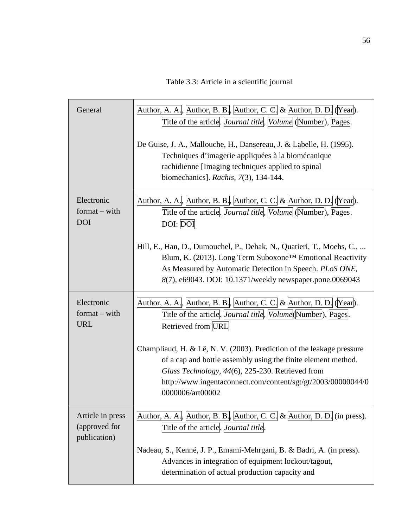Table 3.3: Article in a scientific journal

| General                                           | Author, A. A., Author, B. B., Author, C. C. & Author, D. D. (Year).<br>Title of the article. <i>Journal title</i> , <i>Volume</i> (Number), Pages.                                                                                                                             |  |  |  |
|---------------------------------------------------|--------------------------------------------------------------------------------------------------------------------------------------------------------------------------------------------------------------------------------------------------------------------------------|--|--|--|
|                                                   | De Guise, J. A., Mallouche, H., Dansereau, J. & Labelle, H. (1995).<br>Techniques d'imagerie appliquées à la biomécanique<br>rachidienne [Imaging techniques applied to spinal<br>biomechanics]. Rachis, 7(3), 134-144.                                                        |  |  |  |
| Electronic<br>$format - with$<br><b>DOI</b>       | Author, A. A., Author, B. B., Author, C. C. & Author, D. D. (Year).<br>Title of the article. <i>Vournal title</i> , <i>Volume</i> (Number), Pages.<br>DOI: DOI                                                                                                                 |  |  |  |
|                                                   | Hill, E., Han, D., Dumouchel, P., Dehak, N., Quatieri, T., Moehs, C.,<br>Blum, K. (2013). Long Term Suboxone™ Emotional Reactivity<br>As Measured by Automatic Detection in Speech. PLoS ONE,<br>8(7), e69043. DOI: 10.1371/weekly newspaper.pone.0069043                      |  |  |  |
| Electronic<br>$format - with$<br><b>URL</b>       | Author, A. A., Author, B. B., Author, C. C. & Author, D. D. (Year).<br>Title of the article. <i>Journal title</i> , <i>Volume</i> (Number), Pages.<br>Retrieved from URL                                                                                                       |  |  |  |
|                                                   | Champliaud, H. & Lê, N. V. (2003). Prediction of the leakage pressure<br>of a cap and bottle assembly using the finite element method.<br>Glass Technology, 44(6), 225-230. Retrieved from<br>http://www.ingentaconnect.com/content/sgt/gt/2003/00000044/0<br>0000006/art00002 |  |  |  |
| Article in press<br>(approved for<br>publication) | Author, A. A., Author, B. B., Author, C. C. & Author, D. D. (in press).<br>Title of the article. <i>Journal title</i> .                                                                                                                                                        |  |  |  |
|                                                   | Nadeau, S., Kenné, J. P., Emami-Mehrgani, B. & Badri, A. (in press).<br>Advances in integration of equipment lockout/tagout,<br>determination of actual production capacity and                                                                                                |  |  |  |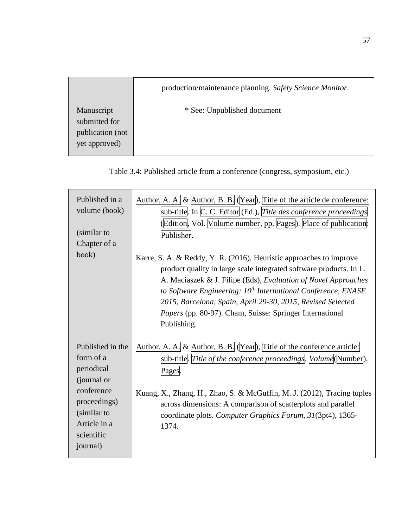|                                                                  | production/maintenance planning. Safety Science Monitor. |  |
|------------------------------------------------------------------|----------------------------------------------------------|--|
| Manuscript<br>submitted for<br>publication (not<br>yet approved) | * See: Unpublished document                              |  |

| Table 3.4: Published article from a conference (congress, symposium, etc.) |  |  |
|----------------------------------------------------------------------------|--|--|
|----------------------------------------------------------------------------|--|--|

| Published in a<br>volume (book)<br>(similar to<br>Chapter of a<br>book)                                                                           | Author, A. A. & Author, B. B. $\sqrt{(Year)}$ , Title of the article de conference:<br>sub-title. In $C$ . C. Editor (Ed.), Title des conference proceedings<br>(Edition, Vol. Volume number, pp. Pages). Place of publication:<br>Publisher.<br>Karre, S. A. & Reddy, Y. R. (2016), Heuristic approaches to improve<br>product quality in large scale integrated software products. In L.<br>A. Maciaszek & J. Filipe (Eds), Evaluation of Novel Approaches<br>to Software Engineering: 10 <sup>th</sup> International Conference, ENASE<br>2015, Barcelona, Spain, April 29-30, 2015, Revised Selected<br>Papers (pp. 80-97). Cham, Suisse: Springer International<br>Publishing. |
|---------------------------------------------------------------------------------------------------------------------------------------------------|-------------------------------------------------------------------------------------------------------------------------------------------------------------------------------------------------------------------------------------------------------------------------------------------------------------------------------------------------------------------------------------------------------------------------------------------------------------------------------------------------------------------------------------------------------------------------------------------------------------------------------------------------------------------------------------|
| Published in the<br>form of a<br>periodical<br>(journal or<br>conference<br>proceedings)<br>(similar to<br>Article in a<br>scientific<br>journal) | Author, A. A. & $\Delta$ uthor, B. B. (Year), Title of the conference article:<br>sub-title. Title of the conference proceedings, Volume (Number),<br>Pages.<br>Kuang, X., Zhang, H., Zhao, S. & McGuffin, M. J. (2012), Tracing tuples<br>across dimensions: A comparison of scatterplots and parallel<br>coordinate plots. Computer Graphics Forum, 31(3pt4), 1365-<br>1374.                                                                                                                                                                                                                                                                                                      |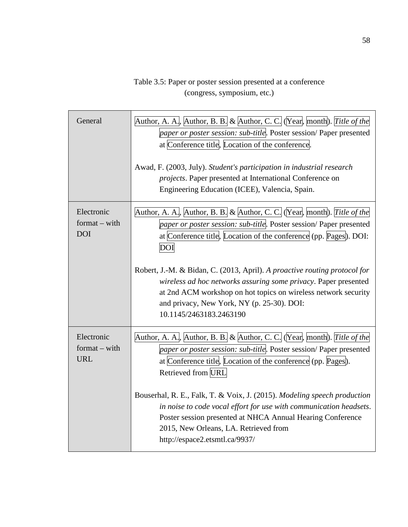# Table 3.5: Paper or poster session presented at a conference (congress, symposium, etc.)

| General                                     | Author, A. A., Author, B. B. & Author, C. C. (Year, month). Title of the<br>paper or poster session: sub-title. Poster session/Paper presented<br>at Conference title, Location of the conference.<br>Awad, F. (2003, July). Student's participation in industrial research<br>projects. Paper presented at International Conference on<br>Engineering Education (ICEE), Valencia, Spain. |
|---------------------------------------------|-------------------------------------------------------------------------------------------------------------------------------------------------------------------------------------------------------------------------------------------------------------------------------------------------------------------------------------------------------------------------------------------|
| Electronic<br>$format - with$<br><b>DOI</b> | Author, A. A., Author, B. B. & Author, C. C. (Year, month). Title of the<br>paper or poster session: sub-title. Poster session/ Paper presented<br>at Conference title, Location of the conference (pp. Pages). DOI:<br>DOI                                                                                                                                                               |
|                                             | Robert, J.-M. & Bidan, C. (2013, April). A proactive routing protocol for<br>wireless ad hoc networks assuring some privacy. Paper presented<br>at 2nd ACM workshop on hot topics on wireless network security<br>and privacy, New York, NY (p. 25-30). DOI:<br>10.1145/2463183.2463190                                                                                                   |
| Electronic<br>$format - with$<br><b>URL</b> | Author, A. A., Author, B. B. & Author, C. C. (Year, month). Title of the<br>paper or poster session: sub-title. Poster session/ Paper presented<br>at Conference title, Location of the conference (pp. Pages).<br>Retrieved from URL                                                                                                                                                     |
|                                             | Bouserhal, R. E., Falk, T. & Voix, J. (2015). Modeling speech production<br>in noise to code vocal effort for use with communication headsets.<br>Poster session presented at NHCA Annual Hearing Conference<br>2015, New Orleans, LA. Retrieved from<br>http://espace2.etsmtl.ca/9937/                                                                                                   |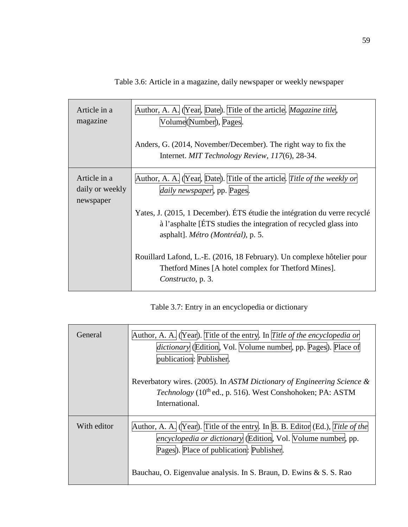| Article in a<br>magazine                     | Author, A. A. (Year, Date). Title of the article. <i>Magazine title</i> ,<br>Volume(Number), Pages.<br>Anders, G. (2014, November/December). The right way to fix the<br>Internet. MIT Technology Review, 117(6), 28-34.                                 |
|----------------------------------------------|----------------------------------------------------------------------------------------------------------------------------------------------------------------------------------------------------------------------------------------------------------|
| Article in a<br>daily or weekly<br>newspaper | Author, A. A. (Year, Date). Title of the article. Title of the weekly or<br>daily newspaper, pp. Pages.<br>Yates, J. (2015, 1 December). ÉTS étudie the intégration du verre recyclé<br>à l'asphalte [ÉTS studies the integration of recycled glass into |
|                                              | asphalt]. Métro (Montréal), p. 5.<br>Rouillard Lafond, L.-E. (2016, 18 February). Un complexe hôtelier pour<br>Thetford Mines [A hotel complex for Thetford Mines].<br>Constructo, p. 3.                                                                 |

Table 3.6: Article in a magazine, daily newspaper or weekly newspaper

Table 3.7: Entry in an encyclopedia or dictionary

| General     | Author, A. A. (Year). Title of the entry. In Title of the encyclopedia or<br><i>dictionary</i> (Edition, Vol. Volume number, pp. Pages). Place of<br>publication: Publisher.                                                                                    |
|-------------|-----------------------------------------------------------------------------------------------------------------------------------------------------------------------------------------------------------------------------------------------------------------|
|             | Reverbatory wires. (2005). In ASTM Dictionary of Engineering Science &<br>Technology (10 <sup>th</sup> ed., p. 516). West Conshohoken; PA: ASTM<br>International.                                                                                               |
| With editor | Author, A. A. (Year). Title of the entry. In B. B. Editor (Ed.), Title of the<br>encyclopedia or dictionary (Edition, Vol. Volume number, pp.<br>Pages). Place of publication: Publisher.<br>Bauchau, O. Eigenvalue analysis. In S. Braun, D. Ewins & S. S. Rao |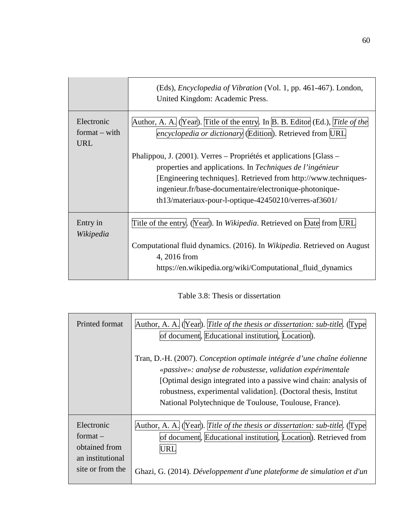|                                             | (Eds), <i>Encyclopedia of Vibration</i> (Vol. 1, pp. 461-467). London,<br>United Kingdom: Academic Press.                                                                                                                                                                                                                  |
|---------------------------------------------|----------------------------------------------------------------------------------------------------------------------------------------------------------------------------------------------------------------------------------------------------------------------------------------------------------------------------|
| Electronic<br>$format - with$<br><b>URL</b> | Author, A. A. (Year). Title of the entry. In $B$ . B. Editor (Ed.), Title of the<br>encyclopedia or dictionary (Edition). Retrieved from URL                                                                                                                                                                               |
|                                             | Phalippou, J. (2001). Verres – Propriétés et applications [Glass –<br>properties and applications. In Techniques de l'ingénieur<br>[Engineering techniques]. Retrieved from http://www.techniques-<br>ingenieur.fr/base-documentaire/electronique-photonique-<br>th13/materiaux-pour-l-optique- $42450210$ /verres-af3601/ |
| Entry in<br>Wikipedia                       | Title of the entry. (Year). In Wikipedia. Retrieved on Date from URL                                                                                                                                                                                                                                                       |
|                                             | Computational fluid dynamics. (2016). In Wikipedia. Retrieved on August<br>4, 2016 from<br>https://en.wikipedia.org/wiki/Computational_fluid_dynamics                                                                                                                                                                      |

| Table 3.8: Thesis or dissertation |  |  |  |
|-----------------------------------|--|--|--|
|-----------------------------------|--|--|--|

| Printed format                                                                    | Author, A. A. (Year). Title of the thesis or dissertation: sub-title. (Type<br>of document, Educational institution, Location).                                                                                                                                                                                                         |
|-----------------------------------------------------------------------------------|-----------------------------------------------------------------------------------------------------------------------------------------------------------------------------------------------------------------------------------------------------------------------------------------------------------------------------------------|
|                                                                                   | Tran, D.-H. (2007). Conception optimale intégrée d'une chaîne éolienne<br>«passive»: analyse de robustesse, validation expérimentale<br>[Optimal design integrated into a passive wind chain: analysis of<br>robustness, experimental validation]. (Doctoral thesis, Institut<br>National Polytechnique de Toulouse, Toulouse, France). |
| Electronic<br>$format -$<br>obtained from<br>an institutional<br>site or from the | Author, A. A. (Year). Title of the thesis or dissertation: sub-title. (Type<br>of document, Educational institution, Location). Retrieved from<br>JRL<br>Ghazi, G. (2014). Développement d'une plateforme de simulation et d'un                                                                                                         |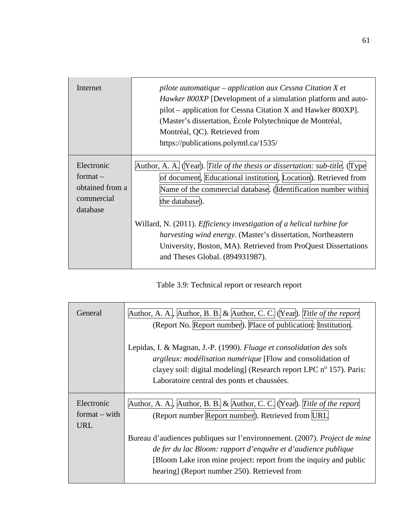| Internet                                                              | pilote automatique $-$ application aux Cessna Citation X et<br><i>Hawker 800XP</i> [Development of a simulation platform and auto-<br>pilot – application for Cessna Citation X and Hawker 800XP].<br>(Master's dissertation, École Polytechnique de Montréal,<br>Montréal, QC). Retrieved from<br>https://publications.polymtl.ca/1535/                                                                                                                                                       |
|-----------------------------------------------------------------------|------------------------------------------------------------------------------------------------------------------------------------------------------------------------------------------------------------------------------------------------------------------------------------------------------------------------------------------------------------------------------------------------------------------------------------------------------------------------------------------------|
| Electronic<br>format $-$<br>obtained from a<br>commercial<br>database | Author, A. A. (Year). Title of the thesis or dissertation: sub-title. (Type<br>of document, Educational institution, Location). Retrieved from<br>Name of the commercial database. (Identification number within<br>the database).<br>Willard, N. (2011). <i>Efficiency investigation of a helical turbine for</i><br><i>harvesting wind energy.</i> (Master's dissertation, Northeastern<br>University, Boston, MA). Retrieved from ProQuest Dissertations<br>and Theses Global. (894931987). |

Table 3.9: Technical report or research report

| General                                     | Author, A. A., Author, B. B. & Author, C. C. (Year). Title of the report<br>(Report No. Report number). Place of publication: Institution.                                                                                                                                |
|---------------------------------------------|---------------------------------------------------------------------------------------------------------------------------------------------------------------------------------------------------------------------------------------------------------------------------|
|                                             | Lepidas, I. & Magnan, J.-P. (1990). Fluage et consolidation des sols<br><i>argileux: modélisation numérique</i> [Flow and consolidation of<br>clayey soil: digital modeling] (Research report LPC $n^{\circ}$ 157). Paris:<br>Laboratoire central des ponts et chaussées. |
| Electronic<br>$format - with$<br><b>URL</b> | Author, A. A., Author, B. B. & Author, C. C. (Year). Title of the report<br>(Report number Report number). Retrieved from URL                                                                                                                                             |
|                                             | Bureau d'audiences publiques sur l'environnement. (2007). Project de mine<br>de fer du lac Bloom: rapport d'enquête et d'audience publique<br>[Bloom Lake iron mine project: report from the inquiry and public<br>hearing] (Report number 250). Retrieved from           |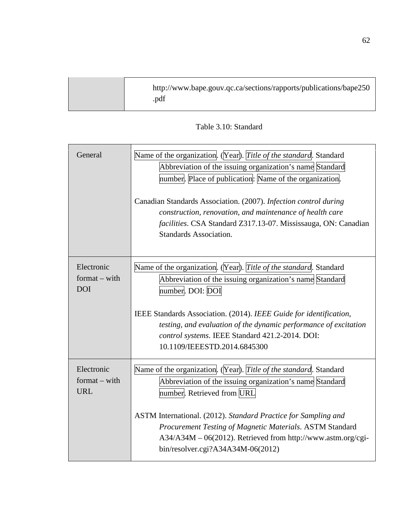| http://www.bape.gouv.qc.ca/sections/rapports/publications/bape250<br>.pdf |  |
|---------------------------------------------------------------------------|--|

Table 3.10: Standard

| General                                     | Name of the organization. (Year). Title of the standard. Standard<br>Abbreviation of the issuing organization's name Standard<br>number. Place of publication: Name of the organization.<br>Canadian Standards Association. (2007). Infection control during<br>construction, renovation, and maintenance of health care<br>facilities. CSA Standard Z317.13-07. Mississauga, ON: Canadian<br><b>Standards Association.</b> |
|---------------------------------------------|-----------------------------------------------------------------------------------------------------------------------------------------------------------------------------------------------------------------------------------------------------------------------------------------------------------------------------------------------------------------------------------------------------------------------------|
| Electronic<br>$format - with$<br><b>DOI</b> | Name of the organization. (Year). Title of the standard. Standard<br>Abbreviation of the issuing organization's name Standard<br>number. DOI: DOI<br>IEEE Standards Association. (2014). IEEE Guide for identification,<br>testing, and evaluation of the dynamic performance of excitation<br>control systems. IEEE Standard 421.2-2014. DOI:<br>10.1109/IEEESTD.2014.6845300                                              |
| Electronic<br>$format - with$<br><b>URL</b> | Name of the organization. (Year). Title of the standard. Standard<br>Abbreviation of the issuing organization's name Standard<br>number. Retrieved from URL<br>ASTM International. (2012). Standard Practice for Sampling and<br>Procurement Testing of Magnetic Materials. ASTM Standard<br>A34/A34M - 06(2012). Retrieved from http://www.astm.org/cgi-<br>bin/resolver.cgi?A34A34M-06(2012)                              |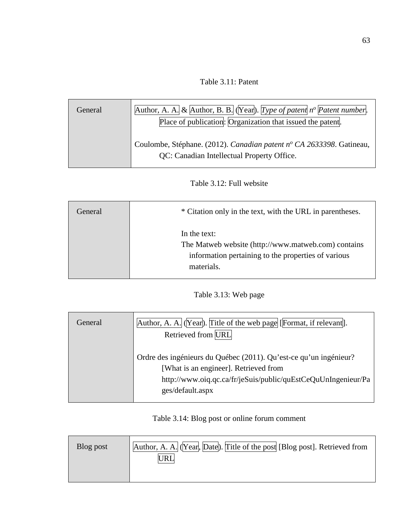Table 3.11: Patent

| General | Author, A. A. & Author, B. B. (Year). Type of patent $n^{\circ}$ Patent number.<br>Place of publication: Organization that issued the patent. |
|---------|-----------------------------------------------------------------------------------------------------------------------------------------------|
|         | Coulombe, Stéphane. (2012). Canadian patent nº CA 2633398. Gatineau,<br>QC: Canadian Intellectual Property Office.                            |

# Table 3.12: Full website

| General | * Citation only in the text, with the URL in parentheses.                                                                                |
|---------|------------------------------------------------------------------------------------------------------------------------------------------|
|         | In the text:<br>The Matweb website (http://www.matweb.com) contains<br>information pertaining to the properties of various<br>materials. |

# Table 3.13: Web page

| General | Author, A. A. (Year). Title of the web page [Format, if relevant].<br>Retrieved from URL                                                                                                        |
|---------|-------------------------------------------------------------------------------------------------------------------------------------------------------------------------------------------------|
|         | Ordre des ingénieurs du Québec (2011). Qu'est-ce qu'un ingénieur?<br>[What is an engineer]. Retrieved from<br>http://www.oiq.qc.ca/fr/jeSuis/public/quEstCeQuUnIngenieur/Pa<br>ges/default.aspx |

Table 3.14: Blog post or online forum comment

| Blog post | Author, A. A. (Year, Date). Title of the post [Blog post]. Retrieved from |
|-----------|---------------------------------------------------------------------------|
|           |                                                                           |
|           |                                                                           |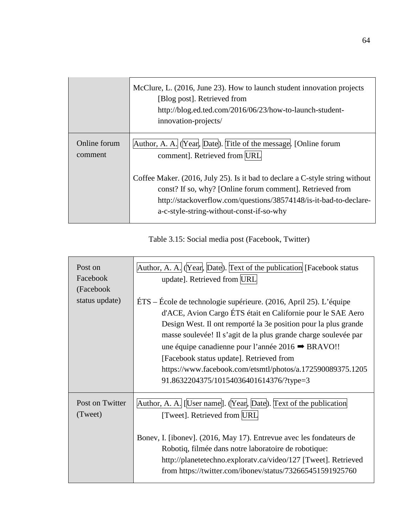|                         | McClure, L. (2016, June 23). How to launch student innovation projects<br>[Blog post]. Retrieved from<br>http://blog.ed.ted.com/2016/06/23/how-to-launch-student-<br>innovation-projects/                                                                  |
|-------------------------|------------------------------------------------------------------------------------------------------------------------------------------------------------------------------------------------------------------------------------------------------------|
| Online forum<br>comment | Author, A. A. (Year, Date). Title of the message. [Online forum<br>comment]. Retrieved from URL                                                                                                                                                            |
|                         | Coffee Maker. (2016, July 25). Is it bad to declare a C-style string without<br>const? If so, why? [Online forum comment]. Retrieved from<br>http://stackoverflow.com/questions/38574148/is-it-bad-to-declare-<br>a-c-style-string-without-const-if-so-why |

Table 3.15: Social media post (Facebook, Twitter)

| Post on<br>Facebook<br>(Facebook | Author, A. A. (Year, Date). Text of the publication [Facebook status<br>update]. Retrieved from URL                                                                                                                                                                                                                                                                                                                                                                              |
|----------------------------------|----------------------------------------------------------------------------------------------------------------------------------------------------------------------------------------------------------------------------------------------------------------------------------------------------------------------------------------------------------------------------------------------------------------------------------------------------------------------------------|
| status update)                   | ÉTS – École de technologie supérieure. (2016, April 25). L'équipe<br>d'ACE, Avion Cargo ÉTS était en Californie pour le SAE Aero<br>Design West. Il ont remporté la 3e position pour la plus grande<br>masse soulevée! Il s'agit de la plus grande charge soulevée par<br>une équipe canadienne pour l'année 2016 → BRAVO!!<br>[Facebook status update]. Retrieved from<br>https://www.facebook.com/etsmtl/photos/a.172590089375.1205<br>91.8632204375/10154036401614376/?type=3 |
| Post on Twitter<br>(Tweet)       | Author, A. A. [User name]. (Year, Date). Text of the publication<br>[Tweet]. Retrieved from URL                                                                                                                                                                                                                                                                                                                                                                                  |
|                                  | Bonev, I. [ibonev]. (2016, May 17). Entrevue avec les fondateurs de<br>Robotiq, filmée dans notre laboratoire de robotique:<br>http://planetetechno.exploratv.ca/video/127 [Tweet]. Retrieved<br>from https://twitter.com/ibonev/status/732665451591925760                                                                                                                                                                                                                       |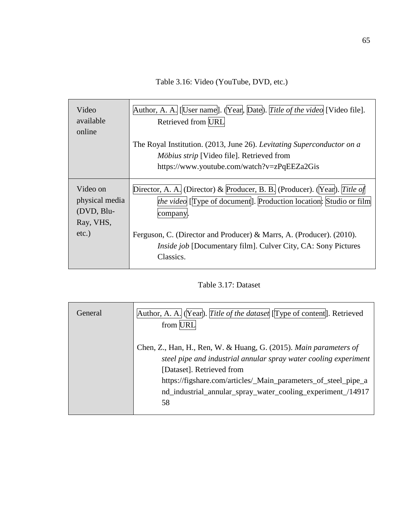Table 3.16: Video (YouTube, DVD, etc.)

| Video<br>available<br>online             | Author, A. A. <i>[User name]</i> . (Year, Date). Title of the video [Video file].<br>Retrieved from URL                                                          |
|------------------------------------------|------------------------------------------------------------------------------------------------------------------------------------------------------------------|
|                                          | The Royal Institution. (2013, June 26). Levitating Superconductor on a                                                                                           |
|                                          | <i>Möbius strip</i> [Video file]. Retrieved from                                                                                                                 |
|                                          | https://www.youtube.com/watch?v=zPqEEZa2Gis                                                                                                                      |
| Video on<br>physical media<br>(DVD, Blu- | Director, A. A. (Director) & Producer, B. B. (Producer). (Year). Title of<br><i>the video</i> [Type of document]. Production location: Studio or film<br>company |
| Ray, VHS,                                |                                                                                                                                                                  |
| $etc.$ )                                 | Ferguson, C. (Director and Producer) & Marrs, A. (Producer). (2010).<br><i>Inside job</i> [Documentary film]. Culver City, CA: Sony Pictures<br>Classics.        |

Table 3.17: Dataset

| General | Author, A. A. (Year). Title of the dataset [Type of content]. Retrieved<br>from URL                                                                                                                                                                                                                       |
|---------|-----------------------------------------------------------------------------------------------------------------------------------------------------------------------------------------------------------------------------------------------------------------------------------------------------------|
|         | Chen, Z., Han, H., Ren, W. & Huang, G. (2015). Main parameters of<br>steel pipe and industrial annular spray water cooling experiment<br>[Dataset]. Retrieved from<br>https://figshare.com/articles/_Main_parameters_of_steel_pipe_a<br>nd_industrial_annular_spray_water_cooling_experiment_/14917<br>58 |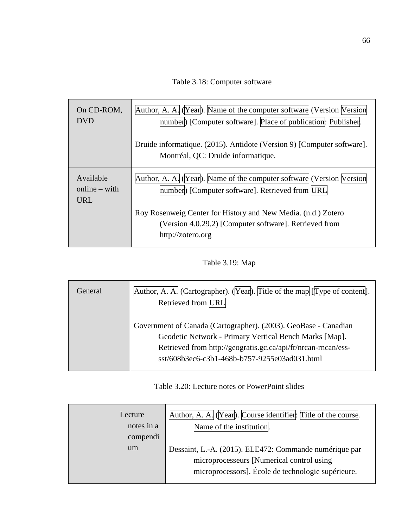Table 3.18: Computer software

| On CD-ROM,<br><b>DVD</b>                   | Author, A. A. (Year). Name of the computer software (Version Version<br>number) [Computer software]. Place of publication: Publisher.        |
|--------------------------------------------|----------------------------------------------------------------------------------------------------------------------------------------------|
|                                            | Druide informatique. (2015). Antidote (Version 9) [Computer software].                                                                       |
|                                            | Montréal, QC: Druide informatique.                                                                                                           |
| Available<br>$online - with$<br><b>URL</b> | Author, A. A. (Year). Name of the computer software (Version Version<br>number) [Computer software]. Retrieved from URL                      |
|                                            | Roy Rosenweig Center for History and New Media. (n.d.) Zotero<br>(Version 4.0.29.2) [Computer software]. Retrieved from<br>http://zotero.org |

Table 3.19: Map

| General | Author, A. A. (Cartographer). (Year). Title of the map [Type of content].<br>Retrieved from URL                                                                                                                                             |
|---------|---------------------------------------------------------------------------------------------------------------------------------------------------------------------------------------------------------------------------------------------|
|         | Government of Canada (Cartographer). (2003). GeoBase - Canadian<br>Geodetic Network - Primary Vertical Bench Marks [Map].<br>Retrieved from http://geogratis.gc.ca/api/fr/nrcan-rncan/ess-<br>sst/608b3ec6-c3b1-468b-b757-9255e03ad031.html |

# Table 3.20: Lecture notes or PowerPoint slides

| Lecture<br>notes in a<br>compendi | Author, A. A. (Year). Course identifier: Title of the course.<br>Name of the institution.                                                                  |
|-----------------------------------|------------------------------------------------------------------------------------------------------------------------------------------------------------|
| um                                | Dessaint, L.-A. (2015). ELE472: Commande numérique par<br>microprocesseurs [Numerical control using]<br>microprocessors]. École de technologie supérieure. |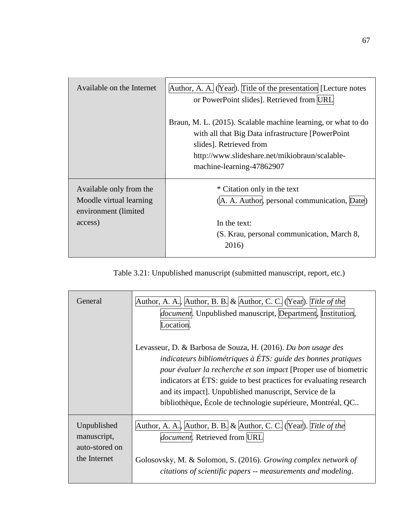| Available on the Internet                                                             | Author, A. A. (Year). Title of the presentation [Lecture notes<br>or PowerPoint slides]. Retrieved from URL                                                                                                                   |
|---------------------------------------------------------------------------------------|-------------------------------------------------------------------------------------------------------------------------------------------------------------------------------------------------------------------------------|
|                                                                                       | Braun, M. L. (2015). Scalable machine learning, or what to do<br>with all that Big Data infrastructure [PowerPoint]<br>slides]. Retrieved from<br>http://www.slideshare.net/mikiobraun/scalable-<br>machine-learning-47862907 |
| Available only from the<br>Moodle virtual learning<br>environment (limited<br>access) | * Citation only in the text<br>(A. A. Author, personal communication, Date)<br>In the text:<br>(S. Krau, personal communication, March 8,<br>2016)                                                                            |

Table 3.21: Unpublished manuscript (submitted manuscript, report, etc.)

| General                                                      | Author, A. A., Author, B. B. & Author, C. C. (Year). Title of the<br><i>document</i> . Unpublished manuscript, Department, Institution,<br>ocation.                                                                                                                                                                                                                                               |
|--------------------------------------------------------------|---------------------------------------------------------------------------------------------------------------------------------------------------------------------------------------------------------------------------------------------------------------------------------------------------------------------------------------------------------------------------------------------------|
|                                                              | Levasseur, D. & Barbosa de Souza, H. (2016). Du bon usage des<br>indicateurs bibliométriques à ÉTS: guide des bonnes pratiques<br>pour évaluer la recherche et son impact [Proper use of biometric<br>indicators at ÉTS: guide to best practices for evaluating research<br>and its impact]. Unpublished manuscript, Service de la<br>bibliothèque, École de technologie supérieure, Montréal, QC |
| Unpublished<br>manuscript,<br>auto-stored on<br>the Internet | Author, A. A., Author, B. B. & Author, C. C. (Year). Title of the<br>document. Retrieved from URL<br>Golosovsky, M. & Solomon, S. (2016). Growing complex network of<br>citations of scientific papers -- measurements and modeling.                                                                                                                                                              |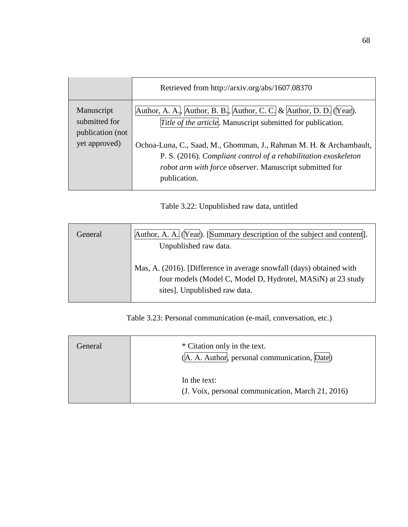|                                                                  | Retrieved from http://arxiv.org/abs/1607.08370                                                                                                                                                                                                                                                                                                         |
|------------------------------------------------------------------|--------------------------------------------------------------------------------------------------------------------------------------------------------------------------------------------------------------------------------------------------------------------------------------------------------------------------------------------------------|
| Manuscript<br>submitted for<br>publication (not<br>yet approved) | Author, A. A., Author, B. B., Author, C. C. & Author, D. D. (Year).<br>Title of the article. Manuscript submitted for publication.<br>Ochoa-Luna, C., Saad, M., Ghomman, J., Rahman M. H. & Archambault,<br>P. S. (2016). Compliant control of a rehabilitation exoskeleton<br>robot arm with force observer. Manuscript submitted for<br>publication. |
|                                                                  |                                                                                                                                                                                                                                                                                                                                                        |

Table 3.22: Unpublished raw data, untitled

| General | Author, A. A. (Year). [Summary description of the subject and content].<br>Unpublished raw data.                                                                     |
|---------|----------------------------------------------------------------------------------------------------------------------------------------------------------------------|
|         | Mas, A. (2016). [Difference in average snowfall (days) obtained with<br>four models (Model C, Model D, Hydrotel, MASiN) at 23 study<br>sites]. Unpublished raw data. |

Table 3.23: Personal communication (e-mail, conversation, etc.)

| General | * Citation only in the text.<br>(A. A. Author, personal communication, Date) |
|---------|------------------------------------------------------------------------------|
|         | In the text:<br>(J. Voix, personal communication, March 21, 2016)            |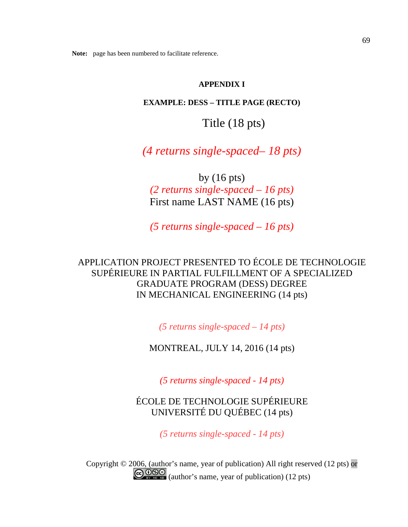## **APPENDIX I**

## **EXAMPLE: DESS – TITLE PAGE (RECTO)**

Title (18 pts)

*(4 returns single-spaced– 18 pts)*

by (16 pts) *(2 returns single-spaced – 16 pts)* First name LAST NAME (16 pts)

*(5 returns single-spaced – 16 pts)*

# APPLICATION PROJECT PRESENTED TO ÉCOLE DE TECHNOLOGIE SUPÉRIEURE IN PARTIAL FULFILLMENT OF A SPECIALIZED GRADUATE PROGRAM (DESS) DEGREE IN MECHANICAL ENGINEERING (14 pts)

*(5 returns single-spaced – 14 pts)*

MONTREAL, JULY 14, 2016 (14 pts)

*(5 returns single-spaced - 14 pts)*

ÉCOLE DE TECHNOLOGIE SUPÉRIEURE UNIVERSITÉ DU QUÉBEC (14 pts)

*(5 returns single-spaced - 14 pts)*

Copyright © 2006, (author's name, year of publication) All right reserved (12 pts) or GOSS (author's name, year of publication) (12 pts)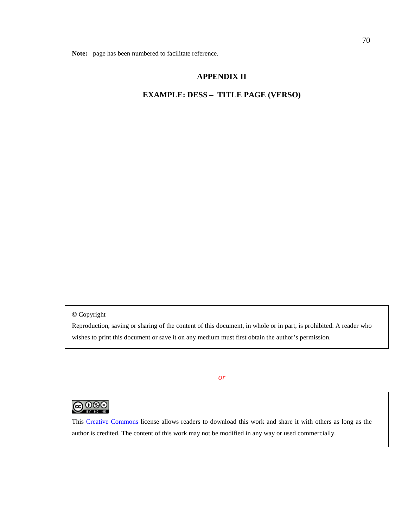## **APPENDIX II**

### **EXAMPLE: DESS – TITLE PAGE (VERSO)**

© Copyright

Reproduction, saving or sharing of the content of this document, in whole or in part, is prohibited. A reader who wishes to print this document or save it on any medium must first obtain the author's permission.

*or*



This [Creative Commons](http://creativecommons.org/licenses/by-nc-nd/3.0/) license allows readers to download this work and share it with others as long as the author is credited. The content of this work may not be modified in any way or used commercially.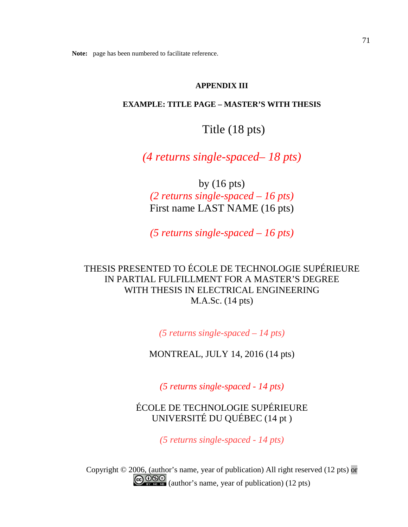## **APPENDIX III**

### **EXAMPLE: TITLE PAGE – MASTER'S WITH THESIS**

Title (18 pts)

*(4 returns single-spaced– 18 pts)*

by (16 pts) *(2 returns single-spaced – 16 pts)* First name LAST NAME (16 pts)

*(5 returns single-spaced – 16 pts)*

THESIS PRESENTED TO ÉCOLE DE TECHNOLOGIE SUPÉRIEURE IN PARTIAL FULFILLMENT FOR A MASTER'S DEGREE WITH THESIS IN ELECTRICAL ENGINEERING M.A.Sc. (14 pts)

*(5 returns single-spaced – 14 pts)*

MONTREAL, JULY 14, 2016 (14 pts)

*(5 returns single-spaced - 14 pts)*

ÉCOLE DE TECHNOLOGIE SUPÉRIEURE UNIVERSITÉ DU QUÉBEC (14 pt )

*(5 returns single-spaced - 14 pts)*

Copyright © 2006, (author's name, year of publication) All right reserved (12 pts) or GOSS (author's name, year of publication) (12 pts)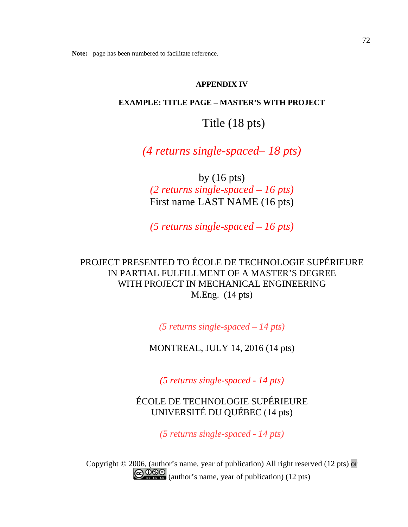## **APPENDIX IV**

## **EXAMPLE: TITLE PAGE – MASTER'S WITH PROJECT**

Title (18 pts)

*(4 returns single-spaced– 18 pts)*

by (16 pts) *(2 returns single-spaced – 16 pts)* First name LAST NAME (16 pts)

*(5 returns single-spaced – 16 pts)*

# PROJECT PRESENTED TO ÉCOLE DE TECHNOLOGIE SUPÉRIEURE IN PARTIAL FULFILLMENT OF A MASTER'S DEGREE WITH PROJECT IN MECHANICAL ENGINEERING M.Eng. (14 pts)

*(5 returns single-spaced – 14 pts)*

MONTREAL, JULY 14, 2016 (14 pts)

*(5 returns single-spaced - 14 pts)*

ÉCOLE DE TECHNOLOGIE SUPÉRIEURE UNIVERSITÉ DU QUÉBEC (14 pts)

*(5 returns single-spaced - 14 pts)*

Copyright © 2006, (author's name, year of publication) All right reserved (12 pts) or GOSS (author's name, year of publication) (12 pts)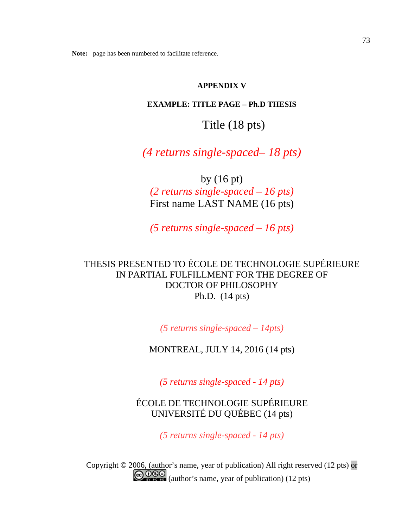## **APPENDIX V**

### **EXAMPLE: TITLE PAGE – Ph.D THESIS**

# Title (18 pts)

*(4 returns single-spaced– 18 pts)*

by (16 pt) *(2 returns single-spaced – 16 pts)* First name LAST NAME (16 pts)

*(5 returns single-spaced – 16 pts)*

# THESIS PRESENTED TO ÉCOLE DE TECHNOLOGIE SUPÉRIEURE IN PARTIAL FULFILLMENT FOR THE DEGREE OF DOCTOR OF PHILOSOPHY Ph.D. (14 pts)

*(5 returns single-spaced – 14pts)*

MONTREAL, JULY 14, 2016 (14 pts)

*(5 returns single-spaced - 14 pts)*

ÉCOLE DE TECHNOLOGIE SUPÉRIEURE UNIVERSITÉ DU QUÉBEC (14 pts)

*(5 returns single-spaced - 14 pts)*

Copyright © 2006, (author's name, year of publication) All right reserved (12 pts) or  $\bigodot$   $\bigodot$   $\bigodot$   $\bigodot$  (author's name, year of publication) (12 pts)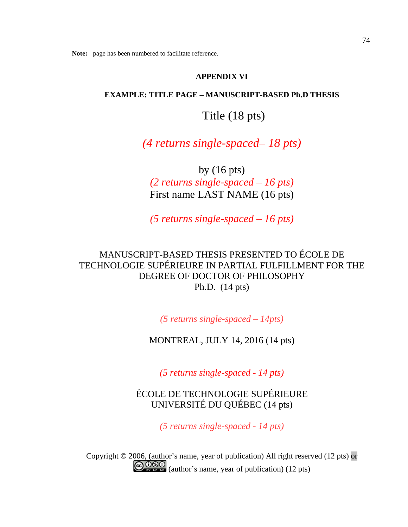## **APPENDIX VI**

### **EXAMPLE: TITLE PAGE – MANUSCRIPT-BASED Ph.D THESIS**

Title (18 pts)

*(4 returns single-spaced– 18 pts)*

by (16 pts) *(2 returns single-spaced – 16 pts)* First name LAST NAME (16 pts)

*(5 returns single-spaced – 16 pts)*

MANUSCRIPT-BASED THESIS PRESENTED TO ÉCOLE DE TECHNOLOGIE SUPÉRIEURE IN PARTIAL FULFILLMENT FOR THE DEGREE OF DOCTOR OF PHILOSOPHY Ph.D. (14 pts)

*(5 returns single-spaced – 14pts)*

MONTREAL, JULY 14, 2016 (14 pts)

*(5 returns single-spaced - 14 pts)*

ÉCOLE DE TECHNOLOGIE SUPÉRIEURE UNIVERSITÉ DU QUÉBEC (14 pts)

*(5 returns single-spaced - 14 pts)*

Copyright © 2006, (author's name, year of publication) All right reserved (12 pts) or GOSO (author's name, year of publication) (12 pts)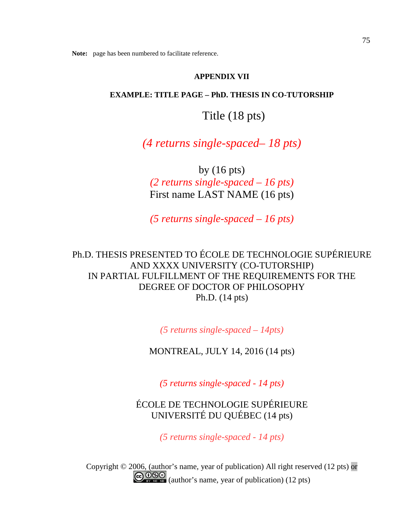## **APPENDIX VII**

### **EXAMPLE: TITLE PAGE – PhD. THESIS IN CO-TUTORSHIP**

Title (18 pts)

*(4 returns single-spaced– 18 pts)*

by (16 pts) *(2 returns single-spaced – 16 pts)* First name LAST NAME (16 pts)

*(5 returns single-spaced – 16 pts)*

Ph.D. THESIS PRESENTED TO ÉCOLE DE TECHNOLOGIE SUPÉRIEURE AND XXXX UNIVERSITY (CO-TUTORSHIP) IN PARTIAL FULFILLMENT OF THE REQUIREMENTS FOR THE DEGREE OF DOCTOR OF PHILOSOPHY Ph.D. (14 pts)

*(5 returns single-spaced – 14pts)*

MONTREAL, JULY 14, 2016 (14 pts)

*(5 returns single-spaced - 14 pts)*

ÉCOLE DE TECHNOLOGIE SUPÉRIEURE UNIVERSITÉ DU QUÉBEC (14 pts)

*(5 returns single-spaced - 14 pts)*

Copyright © 2006, (author's name, year of publication) All right reserved (12 pts) or  $\bigodot$   $\bigodot$   $\bigodot$   $\bigodot$   $\bigodot$  (author's name, year of publication) (12 pts)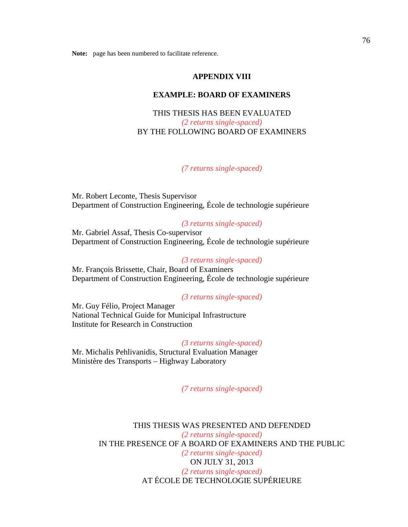### **APPENDIX VIII**

#### **EXAMPLE: BOARD OF EXAMINERS**

## THIS THESIS HAS BEEN EVALUATED *(2 returns single-spaced)* BY THE FOLLOWING BOARD OF EXAMINERS

#### *(7 returns single-spaced)*

Mr. Robert Leconte, Thesis Supervisor Department of Construction Engineering, École de technologie supérieure

### *(3 returns single-spaced)*

Mr. Gabriel Assaf, Thesis Co-supervisor Department of Construction Engineering, École de technologie supérieure

#### *(3 returns single-spaced)*

Mr. François Brissette, Chair, Board of Examiners Department of Construction Engineering, École de technologie supérieure

#### *(3 returns single-spaced)*

Mr. Guy Félio, Project Manager National Technical Guide for Municipal Infrastructure Institute for Research in Construction

#### *(3 returns single-spaced)*

Mr. Michalis Pehlivanidis, Structural Evaluation Manager Ministère des Transports – Highway Laboratory

## *(7 returns single-spaced)*

THIS THESIS WAS PRESENTED AND DEFENDED *(2 returns single-spaced)* IN THE PRESENCE OF A BOARD OF EXAMINERS AND THE PUBLIC *(2 returns single-spaced)* ON JULY 31, 2013 *(2 returns single-spaced)* AT ÉCOLE DE TECHNOLOGIE SUPÉRIEURE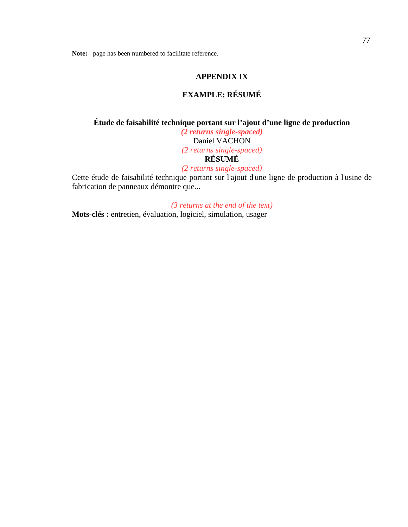## **APPENDIX IX**

## **EXAMPLE: RÉSUMÉ**

## **Étude de faisabilité technique portant sur l'ajout d'une ligne de production**  *(2 returns single-spaced)* Daniel VACHON *(2 returns single-spaced)* **RÉSUMÉ** *(2 returns single-spaced)*

Cette étude de faisabilité technique portant sur l'ajout d'une ligne de production à l'usine de fabrication de panneaux démontre que...

*(3 returns at the end of the text)*

**Mots-clés :** entretien, évaluation, logiciel, simulation, usager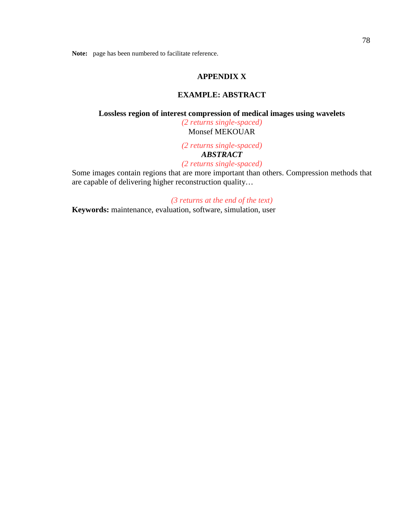## **APPENDIX X**

### **EXAMPLE: ABSTRACT**

### **Lossless region of interest compression of medical images using wavelets**

*(2 returns single-spaced)* Monsef MEKOUAR

*(2 returns single-spaced) ABSTRACT*

*(2 returns single-spaced)*

Some images contain regions that are more important than others. Compression methods that are capable of delivering higher reconstruction quality…

#### *(3 returns at the end of the text)*

**Keywords:** maintenance, evaluation, software, simulation, user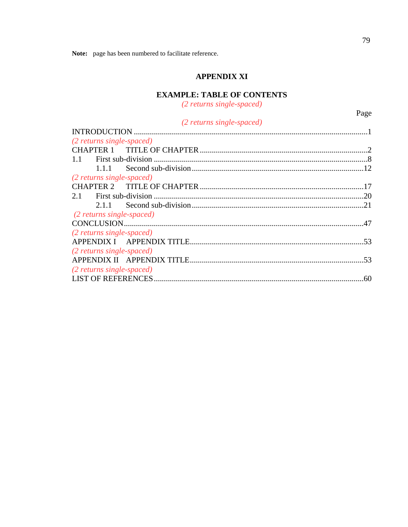## **APPENDIX XI**

# **EXAMPLE: TABLE OF CONTENTS**

(2 returns single-spaced)

| (2 returns single-spaced) |  |
|---------------------------|--|
|                           |  |
| (2 returns single-spaced) |  |
|                           |  |
|                           |  |
|                           |  |
| (2 returns single-spaced) |  |
|                           |  |
|                           |  |
|                           |  |
| (2 returns single-spaced) |  |
|                           |  |
| (2 returns single-spaced) |  |
|                           |  |
| (2 returns single-spaced) |  |
|                           |  |
| (2 returns single-spaced) |  |
|                           |  |
|                           |  |

Page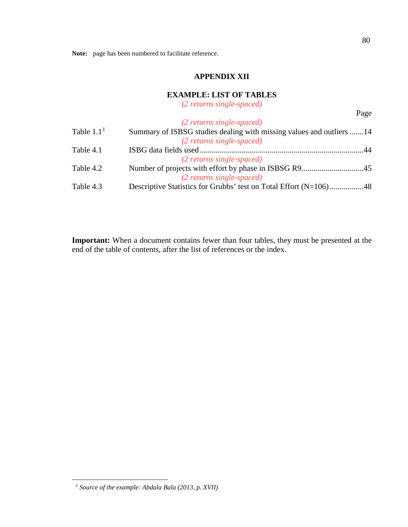## **APPENDIX XII**

### **EXAMPLE: LIST OF TABLES**

*(2 returns single-spaced)*

|              | (2 returns single-spaced)                                            |     |
|--------------|----------------------------------------------------------------------|-----|
| Table $1.11$ | Summary of ISBSG studies dealing with missing values and outliers 14 |     |
|              | (2 returns single-spaced)                                            |     |
| Table 4.1    |                                                                      | -44 |
|              | (2 returns single-spaced)                                            |     |
| Table 4.2    |                                                                      |     |
|              | (2 returns single-spaced)                                            |     |
| Table 4.3    | Descriptive Statistics for Grubbs' test on Total Effort (N=106)48    |     |

<span id="page-83-0"></span>**Important:** When a document contains fewer than four tables, they must be presented at the end of the table of contents, after the list of references or the index.

Page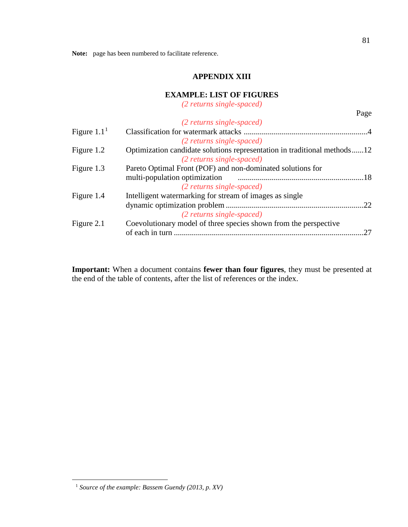## **APPENDIX XIII**

## **EXAMPLE: LIST OF FIGURES**

*(2 returns single-spaced)*

|                                                                  | Page                                                                     |
|------------------------------------------------------------------|--------------------------------------------------------------------------|
| (2 returns single-spaced)                                        |                                                                          |
|                                                                  |                                                                          |
| (2 returns single-spaced)                                        |                                                                          |
|                                                                  |                                                                          |
| (2 returns single-spaced)                                        |                                                                          |
| Pareto Optimal Front (POF) and non-dominated solutions for       |                                                                          |
| multi-population optimization                                    |                                                                          |
| (2 returns single-spaced)                                        |                                                                          |
| Intelligent watermarking for stream of images as single          |                                                                          |
|                                                                  | .22                                                                      |
| (2 returns single-spaced)                                        |                                                                          |
| Coevolutionary model of three species shown from the perspective |                                                                          |
| of each in turn                                                  | 27                                                                       |
|                                                                  | Optimization candidate solutions representation in traditional methods12 |

**Important:** When a document contains **fewer than four figures**, they must be presented at the end of the table of contents, after the list of references or the index.

81

<span id="page-84-0"></span> <sup>1</sup> *Source of the example: Bassem Guendy (2013, p. XV)*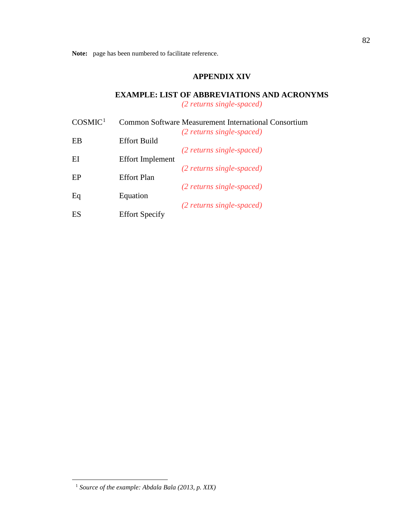## **APPENDIX XIV**

## **EXAMPLE: LIST OF ABBREVIATIONS AND ACRONYMS**

*(2 returns single-spaced)*

| COSMIC <sup>1</sup> |                         | Common Software Measurement International Consortium |
|---------------------|-------------------------|------------------------------------------------------|
|                     |                         | $(2$ returns single-spaced)                          |
| EB                  | <b>Effort Build</b>     |                                                      |
|                     |                         | (2 returns single-spaced)                            |
| EI                  | <b>Effort Implement</b> |                                                      |
|                     |                         | (2 returns single-spaced)                            |
| EP                  | <b>Effort Plan</b>      |                                                      |
|                     |                         | (2 returns single-spaced)                            |
| Eq                  | Equation                |                                                      |
|                     |                         | (2 returns single-spaced)                            |
| ES                  | <b>Effort Specify</b>   |                                                      |

<span id="page-85-0"></span> <sup>1</sup> *Source of the example: Abdala Bala (2013, p. XIX)*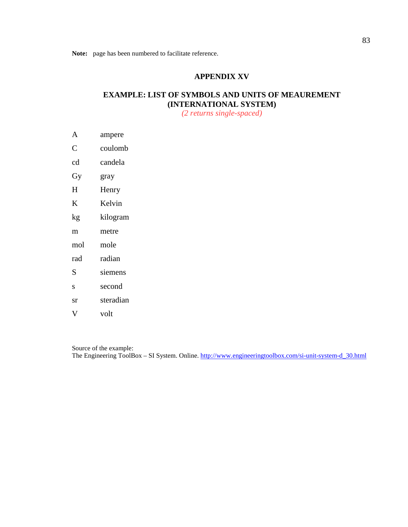## **APPENDIX XV**

## **EXAMPLE: LIST OF SYMBOLS AND UNITS OF MEAUREMENT (INTERNATIONAL SYSTEM)**

*(2 returns single-spaced)*

- A ampere
- C coulomb
- cd candela
- Gy gray
- H Henry
- K Kelvin
- kg kilogram
- m metre
- mol mole
- rad radian
- S siemens
- s second
- sr steradian
- V volt

Source of the example:

The Engineering ToolBox – SI System. Online. [http://www.engineeringtoolbox.com/si-unit-system-d\\_30.html](http://www.engineeringtoolbox.com/si-unit-system-d_30.html)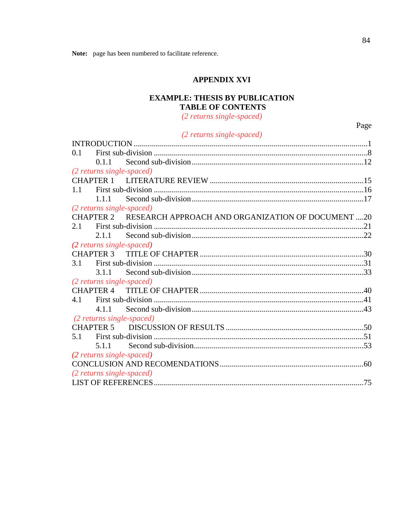### **APPENDIX XVI**

## **EXAMPLE: THESIS BY PUBLICATION TABLE OF CONTENTS**

(2 returns single-spaced)

## (2 returns single-spaced)

| 0.1                                                         |
|-------------------------------------------------------------|
| 0.1.1                                                       |
| (2 returns single-spaced)                                   |
|                                                             |
| 1.1                                                         |
| 1.1.1                                                       |
| (2 returns single-spaced)                                   |
| CHAPTER 2 RESEARCH APPROACH AND ORGANIZATION OF DOCUMENT 20 |
| 2.1                                                         |
| 2.1.1                                                       |
| (2 returns single-spaced)                                   |
| <b>CHAPTER 3</b>                                            |
| 3.1                                                         |
| 3.1.1                                                       |
| (2 returns single-spaced)                                   |
| <b>CHAPTER 4</b>                                            |
| 4.1                                                         |
| 4.1.1                                                       |
| (2 returns single-spaced)                                   |
|                                                             |
| 5.1                                                         |
| 5.1.1                                                       |
| (2 returns single-spaced)                                   |
|                                                             |
| (2 returns single-spaced)                                   |
|                                                             |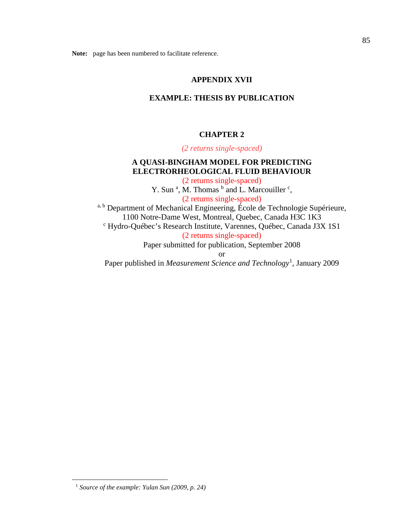#### **APPENDIX XVII**

#### **EXAMPLE: THESIS BY PUBLICATION**

#### **CHAPTER 2**

*(2 returns single-spaced)*

## **A QUASI-BINGHAM MODEL FOR PREDICTING ELECTRORHEOLOGICAL FLUID BEHAVIOUR**

(2 returns single-spaced) Y. Sun<sup>a</sup>, M. Thomas  $<sup>b</sup>$  and L. Marcouiller  $<sup>c</sup>$ ,</sup></sup> (2 returns single-spaced)  $a, b$  Department of Mechanical Engineering, École de Technologie Supérieure, 1100 Notre-Dame West, Montreal, Quebec, Canada H3C 1K3 <sup>c</sup> Hydro-Québec's Research Institute, Varennes, Québec, Canada J3X 1S1 (2 returns single-spaced) Paper submitted for publication, September 2008 or

Paper published in *Measurement Science and Technology*[1](#page-88-0) *,* January 2009

<span id="page-88-0"></span> <sup>1</sup> *Source of the example: Yulan Sun (2009, p. 24)*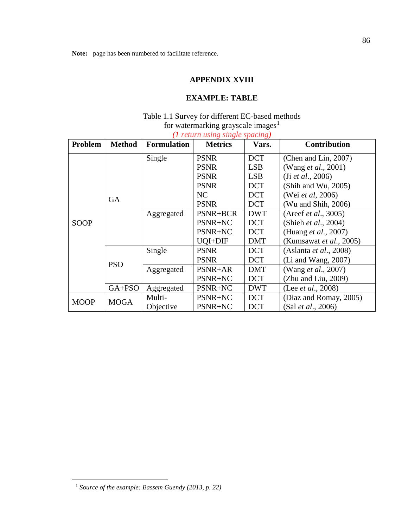### **APPENDIX XVIII**

## **EXAMPLE: TABLE**

## Table 1.1 Survey for different EC-based methods for watermarking grayscale images<sup>[1](#page-89-0)</sup>

*(1 return using single spacing)*

| Problem     | <b>Method</b> | <b>Formulation</b> | <b>Metrics</b>  | Vars.      | <b>Contribution</b>             |
|-------------|---------------|--------------------|-----------------|------------|---------------------------------|
| SOOP        | <b>GA</b>     | Single             | <b>PSNR</b>     | <b>DCT</b> | (Chen and Lin, 2007)            |
|             |               |                    | <b>PSNR</b>     | <b>LSB</b> | (Wang <i>et al.</i> , 2001)     |
|             |               |                    | <b>PSNR</b>     | <b>LSB</b> | (Ji et al., 2006)               |
|             |               |                    | <b>PSNR</b>     | <b>DCT</b> | (Shih and Wu, 2005)             |
|             |               |                    | NC              | <b>DCT</b> | (Wei et al, 2006)               |
|             |               |                    | <b>PSNR</b>     | <b>DCT</b> | (Wu and Shih, 2006)             |
|             |               | Aggregated         | <b>PSNR+BCR</b> | <b>DWT</b> | (Areef <i>et al.</i> , 3005)    |
|             |               |                    | PSNR+NC         | <b>DCT</b> | (Shieh et al., 2004)            |
|             |               |                    | PSNR+NC         | <b>DCT</b> | (Huang et al., 2007)            |
|             |               |                    | UQI+DIF         | DMT        | (Kumsawat <i>et al.</i> , 2005) |
|             | <b>PSO</b>    | Single             | <b>PSNR</b>     | <b>DCT</b> | (Aslanta <i>et al.</i> , 2008)  |
|             |               |                    | <b>PSNR</b>     | <b>DCT</b> | $(Li$ and Wang, 2007)           |
|             |               | Aggregated         | PSNR+AR         | DMT        | (Wang <i>et al.</i> , 2007)     |
|             |               |                    | PSNR+NC         | <b>DCT</b> | (Zhu and Liu, 2009)             |
|             | $GA+PSO$      | Aggregated         | PSNR+NC         | <b>DWT</b> | (Lee <i>et al.</i> , 2008)      |
| <b>MOOP</b> | <b>MOGA</b>   | Multi-             | PSNR+NC         | <b>DCT</b> | (Diaz and Romay, 2005)          |
|             |               | Objective          | PSNR+NC         | <b>DCT</b> | (Sal et al., 2006)              |

<sup>86</sup>

<span id="page-89-0"></span> <sup>1</sup> *Source of the example: Bassem Guendy (2013, p. 22)*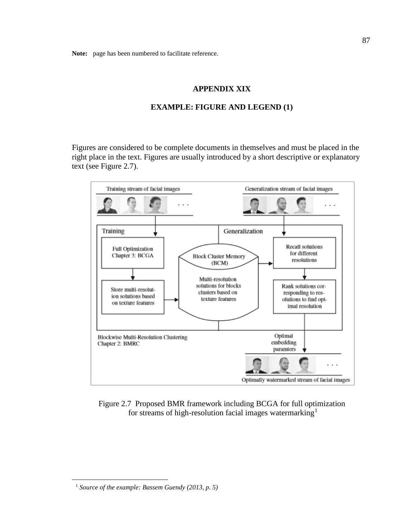## **APPENDIX XIX**

#### **EXAMPLE: FIGURE AND LEGEND (1)**

Figures are considered to be complete documents in themselves and must be placed in the right place in the text. Figures are usually introduced by a short descriptive or explanatory text (see Figure 2.7).



Figure 2.7 Proposed BMR framework including BCGA for full optimization for streams of high-resolution facial images watermarking<sup>[1](#page-90-0)</sup>

<span id="page-90-0"></span> <sup>1</sup> *Source of the example: Bassem Guendy (2013, p. 5)*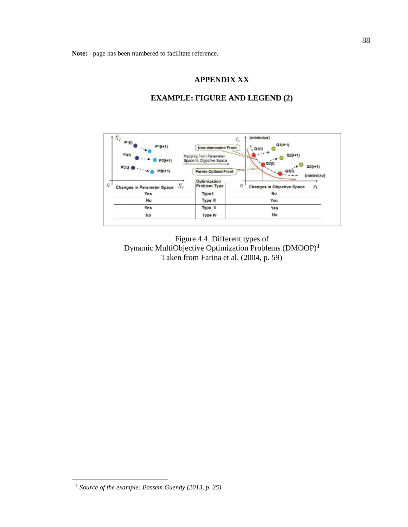#### **APPENDIX XX**



## **EXAMPLE: FIGURE AND LEGEND (2)**

Figure 4.4 Different types of Dynamic MultiObjective Optimization Problems (DMOOP)[1](#page-91-0) Taken from Farina et al. (2004, p. 59)

<sup>88</sup>

<span id="page-91-0"></span> <sup>1</sup> *Source of the example: Bassem Guendy (2013, p. 25)*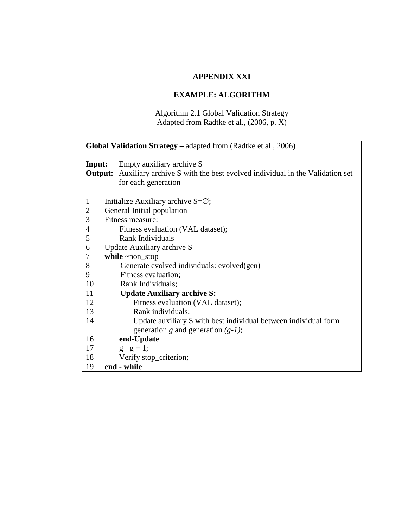## **APPENDIX XXI**

## **EXAMPLE: ALGORITHM**

## Algorithm 2.1 Global Validation Strategy Adapted from Radtke et al., (2006, p. X)

|              | Global Validation Strategy - adapted from (Radtke et al., 2006)                                                                               |
|--------------|-----------------------------------------------------------------------------------------------------------------------------------------------|
| Input:       | Empty auxiliary archive S<br><b>Output:</b> Auxiliary archive S with the best evolved individual in the Validation set<br>for each generation |
| $\mathbf{1}$ | Initialize Auxiliary archive $S = \emptyset$ ;                                                                                                |
| $\mathbf{2}$ | General Initial population                                                                                                                    |
| 3            | Fitness measure:                                                                                                                              |
| 4            | Fitness evaluation (VAL dataset);                                                                                                             |
| 5            | Rank Individuals                                                                                                                              |
| 6            | Update Auxiliary archive S                                                                                                                    |
| 7            | while $\sim$ non_stop                                                                                                                         |
| 8            | Generate evolved individuals: evolved(gen)                                                                                                    |
| 9            | Fitness evaluation;                                                                                                                           |
| 10           | Rank Individuals;                                                                                                                             |
| 11           | <b>Update Auxiliary archive S:</b>                                                                                                            |
| 12           | Fitness evaluation (VAL dataset);                                                                                                             |
| 13           | Rank individuals;                                                                                                                             |
| 14           | Update auxiliary S with best individual between individual form                                                                               |
|              | generation g and generation $(g-1)$ ;                                                                                                         |
| 16           | end-Update                                                                                                                                    |
| 17           | $g = g + 1;$                                                                                                                                  |
| 18           | Verify stop_criterion;                                                                                                                        |
| 19           | end - while                                                                                                                                   |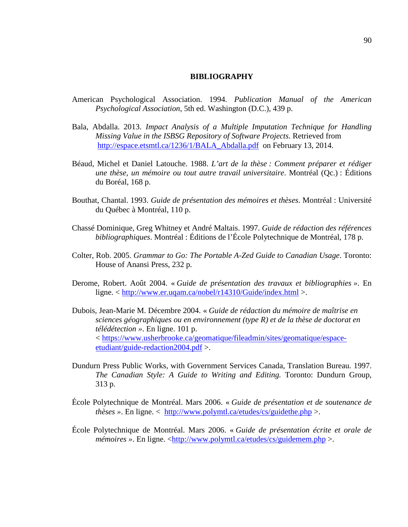#### **BIBLIOGRAPHY**

- American Psychological Association. 1994. *Publication Manual of the American Psychological Association,* 5th ed. Washington (D.C.), 439 p.
- Bala, Abdalla. 2013. *Impact Analysis of a Multiple Imputation Technique for Handling Missing Value in the ISBSG Repository of Software Projects*. Retrieved from [http://espace.etsmtl.ca/1236/1/BALA\\_Abdalla.pdf](http://espace.etsmtl.ca/1236/1/BALA_Abdalla.pdf) on February 13, 2014.
- Béaud, Michel et Daniel Latouche. 1988. *L'art de la thèse : Comment préparer et rédiger une thèse, un mémoire ou tout autre travail universitaire*. Montréal (Qc.) : Éditions du Boréal, 168 p.
- Bouthat, Chantal. 1993. *Guide de présentation des mémoires et thèses*. Montréal : Université du Québec à Montréal, 110 p.
- Chassé Dominique, Greg Whitney et André Maltais. 1997. *Guide de rédaction des références bibliographiques*. Montréal : Éditions de l'École Polytechnique de Montréal, 178 p.
- Colter, Rob. 2005. *Grammar to Go: The Portable A-Zed Guide to Canadian Usage*. Toronto: House of Anansi Press, 232 p.
- Derome, Robert. Août 2004. « *Guide de présentation des travaux et bibliographies »*. En ligne. < <http://www.er.uqam.ca/nobel/r14310/Guide/index.html> >.
- Dubois, Jean-Marie M. Décembre 2004. « *Guide de rédaction du mémoire de maîtrise en sciences géographiques ou en environnement (type R) et de la thèse de doctorat en télédétection »*. En ligne. 101 p. < [https://www.usherbrooke.ca/geomatique/fileadmin/sites/geomatique/espace](https://www.usherbrooke.ca/geomatique/fileadmin/sites/geomatique/espace-etudiant/guide-redaction2004.pdf)[etudiant/guide-redaction2004.pdf](https://www.usherbrooke.ca/geomatique/fileadmin/sites/geomatique/espace-etudiant/guide-redaction2004.pdf) >.
- Dundurn Press Public Works, with Government Services Canada, Translation Bureau. 1997. *The Canadian Style: A Guide to Writing and Editing.* Toronto: Dundurn Group, 313 p.
- École Polytechnique de Montréal. Mars 2006. « *Guide de présentation et de soutenance de thèses »*. En ligne. < <http://www.polymtl.ca/etudes/cs/guidethe.php> >.
- École Polytechnique de Montréal. Mars 2006. « *Guide de présentation écrite et orale de mémoires* ». En ligne. [<http://www.polymtl.ca/etudes/cs/guidemem.php](http://www.polymtl.ca/etudes/cs/guidemem.php) >.